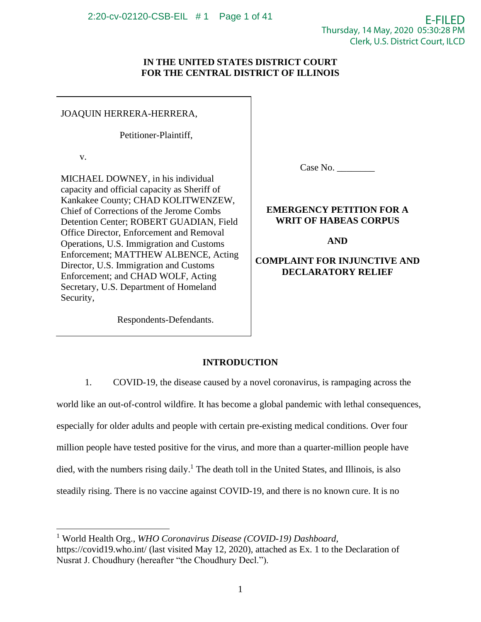## **IN THE UNITED STATES DISTRICT COURT FOR THE CENTRAL DISTRICT OF ILLINOIS**

JOAQUIN HERRERA-HERRERA,

Petitioner-Plaintiff,

v.

MICHAEL DOWNEY, in his individual capacity and official capacity as Sheriff of Kankakee County; CHAD KOLITWENZEW, Chief of Corrections of the Jerome Combs Detention Center; ROBERT GUADIAN, Field Office Director, Enforcement and Removal Operations, U.S. Immigration and Customs Enforcement; MATTHEW ALBENCE, Acting Director, U.S. Immigration and Customs Enforcement; and CHAD WOLF, Acting Secretary, U.S. Department of Homeland Security,

Case No. \_\_\_\_\_\_\_\_

# **EMERGENCY PETITION FOR A WRIT OF HABEAS CORPUS**

**AND** 

# **COMPLAINT FOR INJUNCTIVE AND DECLARATORY RELIEF**

Respondents-Defendants.

# **INTRODUCTION**

1. COVID-19, the disease caused by a novel coronavirus, is rampaging across the

world like an out-of-control wildfire. It has become a global pandemic with lethal consequences,

especially for older adults and people with certain pre-existing medical conditions. Over four

million people have tested positive for the virus, and more than a quarter-million people have

died, with the numbers rising daily.<sup>1</sup> The death toll in the United States, and Illinois, is also

steadily rising. There is no vaccine against COVID-19, and there is no known cure. It is no

<sup>1</sup> World Health Org., *WHO Coronavirus Disease (COVID-19) Dashboard*, <https://covid19.who.int/> (last visited May 12, 2020), attached as Ex. 1 to the Declaration of Nusrat J. Choudhury (hereafter "the Choudhury Decl.").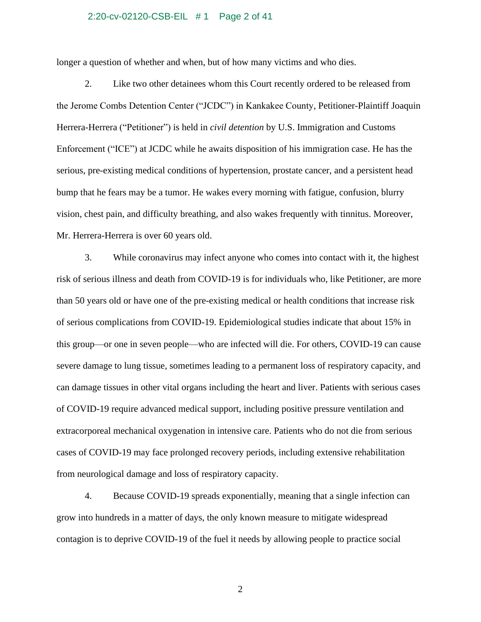#### 2:20-cv-02120-CSB-EIL # 1 Page 2 of 41

longer a question of whether and when, but of how many victims and who dies.

2. Like two other detainees whom this Court recently ordered to be released from the Jerome Combs Detention Center ("JCDC") in Kankakee County, Petitioner-Plaintiff Joaquin Herrera-Herrera ("Petitioner") is held in *civil detention* by U.S. Immigration and Customs Enforcement ("ICE") at JCDC while he awaits disposition of his immigration case. He has the serious, pre-existing medical conditions of hypertension, prostate cancer, and a persistent head bump that he fears may be a tumor. He wakes every morning with fatigue, confusion, blurry vision, chest pain, and difficulty breathing, and also wakes frequently with tinnitus. Moreover, Mr. Herrera-Herrera is over 60 years old.

3. While coronavirus may infect anyone who comes into contact with it, the highest risk of serious illness and death from COVID-19 is for individuals who, like Petitioner, are more than 50 years old or have one of the pre-existing medical or health conditions that increase risk of serious complications from COVID-19. Epidemiological studies indicate that about 15% in this group—or one in seven people—who are infected will die. For others, COVID-19 can cause severe damage to lung tissue, sometimes leading to a permanent loss of respiratory capacity, and can damage tissues in other vital organs including the heart and liver. Patients with serious cases of COVID-19 require advanced medical support, including positive pressure ventilation and extracorporeal mechanical oxygenation in intensive care. Patients who do not die from serious cases of COVID-19 may face prolonged recovery periods, including extensive rehabilitation from neurological damage and loss of respiratory capacity.

4. Because COVID-19 spreads exponentially, meaning that a single infection can grow into hundreds in a matter of days, the only known measure to mitigate widespread contagion is to deprive COVID-19 of the fuel it needs by allowing people to practice social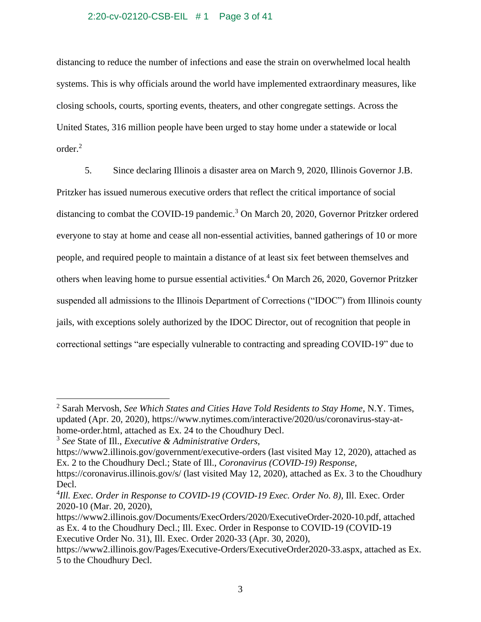## 2:20-cv-02120-CSB-EIL # 1 Page 3 of 41

distancing to reduce the number of infections and ease the strain on overwhelmed local health systems. This is why officials around the world have implemented extraordinary measures, like closing schools, courts, sporting events, theaters, and other congregate settings. Across the United States, 316 million people have been urged to stay home under a statewide or local order.<sup>2</sup>

5. Since declaring Illinois a disaster area on March 9, 2020, Illinois Governor J.B. Pritzker has issued numerous executive orders that reflect the critical importance of social distancing to combat the COVID-19 pandemic.<sup>3</sup> On March 20, 2020, Governor Pritzker ordered everyone to stay at home and cease all non-essential activities, banned gatherings of 10 or more people, and required people to maintain a distance of at least six feet between themselves and others when leaving home to pursue essential activities.<sup>4</sup> On March 26, 2020, Governor Pritzker suspended all admissions to the Illinois Department of Corrections ("IDOC") from Illinois county jails, with exceptions solely authorized by the IDOC Director, out of recognition that people in correctional settings "are especially vulnerable to contracting and spreading COVID-19" due to

<sup>2</sup> Sarah Mervosh, *See Which States and Cities Have Told Residents to Stay Home*, N.Y. Times, updated (Apr. 20, 2020), [https://www.nytimes.com/interactive/2020/us/coronavirus-stay-at](https://www.nytimes.com/interactive/2020/us/coronavirus-stay-at-home-order.html)[home-order.html,](https://www.nytimes.com/interactive/2020/us/coronavirus-stay-at-home-order.html) attached as Ex. 24 to the Choudhury Decl.

<sup>3</sup> *See* State of Ill., *Executive & Administrative Orders*,

<https://www2.illinois.gov/government/executive-orders> (last visited May 12, 2020), attached as Ex. 2 to the Choudhury Decl.; State of Ill., *Coronavirus (COVID-19) Response*,

<https://coronavirus.illinois.gov/s/> (last visited May 12, 2020), attached as Ex. 3 to the Choudhury Decl.

<sup>4</sup> *Ill. Exec. Order in Response to COVID-19 (COVID-19 Exec. Order No. 8)*, Ill. Exec. Order 2020-10 (Mar. 20, 2020),

https://www2.illinois.gov/Documents/ExecOrders/2020/ExecutiveOrder-2020-10.pdf, attached as Ex. 4 to the Choudhury Decl.; Ill. Exec. Order in Response to COVID-19 (COVID-19 Executive Order No. 31), Ill. Exec. Order 2020-33 (Apr. 30, 2020),

[https://www2.illinois.gov/Pages/Executive-Orders/ExecutiveOrder2020-33.aspx,](https://www2.illinois.gov/Pages/Executive-Orders/ExecutiveOrder2020-33.aspx) attached as Ex. 5 to the Choudhury Decl.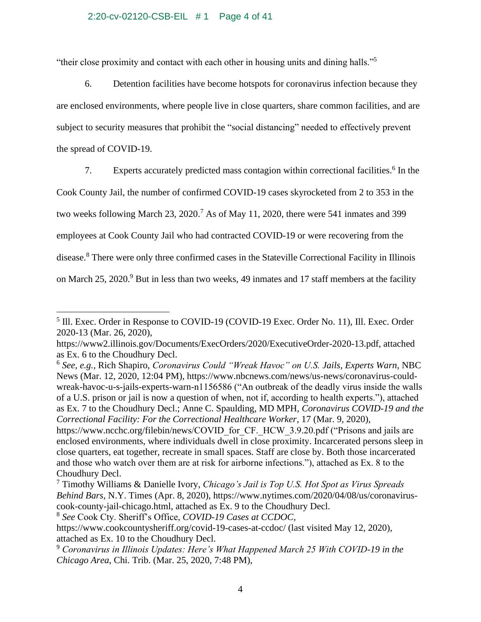"their close proximity and contact with each other in housing units and dining halls."<sup>5</sup>

6. Detention facilities have become hotspots for coronavirus infection because they are enclosed environments, where people live in close quarters, share common facilities, and are subject to security measures that prohibit the "social distancing" needed to effectively prevent the spread of COVID-19.

7. Experts accurately predicted mass contagion within correctional facilities.<sup>6</sup> In the

Cook County Jail, the number of confirmed COVID-19 cases skyrocketed from 2 to 353 in the

two weeks following March 23, 2020.<sup>7</sup> As of May 11, 2020, there were 541 inmates and 399

employees at Cook County Jail who had contracted COVID-19 or were recovering from the

disease. <sup>8</sup> There were only three confirmed cases in the Stateville Correctional Facility in Illinois

on March 25, 2020.<sup>9</sup> But in less than two weeks, 49 inmates and 17 staff members at the facility

6 *See, e.g.,* Rich Shapiro, *Coronavirus Could "Wreak Havoc" on U.S. Jails, Experts Warn*, NBC News (Mar. 12, 2020, 12:04 PM), https://www.nbcnews.com/news/us-news/coronavirus-couldwreak-havoc-u-s-jails-experts-warn-n1156586 ("An outbreak of the deadly virus inside the walls of a U.S. prison or jail is now a question of when, not if, according to health experts."), attached as Ex. 7 to the Choudhury Decl.; Anne C. Spaulding, MD MPH, *Coronavirus COVID-19 and the Correctional Facility: For the Correctional Healthcare Worker*, 17 (Mar. 9, 2020), https://www.ncchc.org/filebin/news/COVID for CF. HCW 3.9.20.pdf ("Prisons and jails are enclosed environments, where individuals dwell in close proximity. Incarcerated persons sleep in close quarters, eat together, recreate in small spaces. Staff are close by. Both those incarcerated

<sup>&</sup>lt;sup>5</sup> Ill. Exec. Order in Response to COVID-19 (COVID-19 Exec. Order No. 11), Ill. Exec. Order 2020-13 (Mar. 26, 2020),

https://www2.illinois.gov/Documents/ExecOrders/2020/ExecutiveOrder-2020-13.pdf, attached as Ex. 6 to the Choudhury Decl.

and those who watch over them are at risk for airborne infections."), attached as Ex. 8 to the Choudhury Decl.

<sup>7</sup> Timothy Williams & Danielle Ivory, *Chicago's Jail is Top U.S. Hot Spot as Virus Spreads Behind Bars*, N.Y. Times (Apr. 8, 2020), https://www.nytimes.com/2020/04/08/us/coronaviruscook-county-jail-chicago.html, attached as Ex. 9 to the Choudhury Decl.

<sup>8</sup> *See* Cook Cty. Sheriff's Office, *COVID-19 Cases at CCDOC*,

<https://www.cookcountysheriff.org/covid-19-cases-at-ccdoc/> (last visited May 12, 2020), attached as Ex. 10 to the Choudhury Decl.

<sup>9</sup> *Coronavirus in Illinois Updates: Here's What Happened March 25 With COVID-19 in the Chicago Area*, Chi. Trib. (Mar. 25, 2020, 7:48 PM),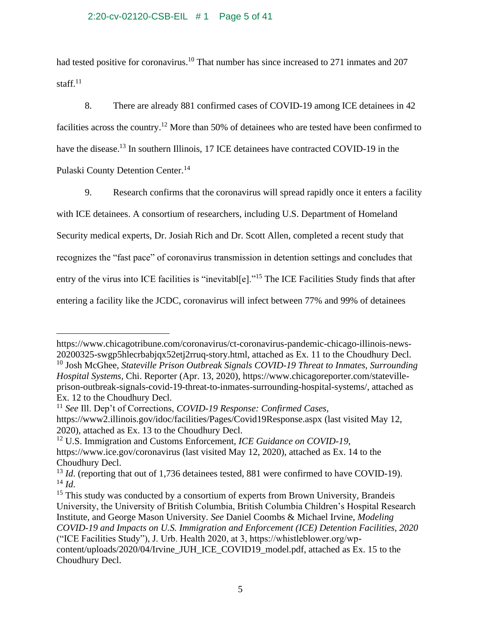## 2:20-cv-02120-CSB-EIL # 1 Page 5 of 41

had tested positive for coronavirus.<sup>10</sup> That number has since increased to 271 inmates and 207 staff.<sup>11</sup>

8. There are already 881 confirmed cases of COVID-19 among ICE detainees in 42 facilities across the country.<sup>12</sup> More than 50% of detainees who are tested have been confirmed to have the disease.<sup>13</sup> In southern Illinois, 17 ICE detainees have contracted COVID-19 in the Pulaski County Detention Center.<sup>14</sup>

9. Research confirms that the coronavirus will spread rapidly once it enters a facility with ICE detainees. A consortium of researchers, including U.S. Department of Homeland

Security medical experts, Dr. Josiah Rich and Dr. Scott Allen, completed a recent study that

recognizes the "fast pace" of coronavirus transmission in detention settings and concludes that

entry of the virus into ICE facilities is "inevitabl[e]."<sup>15</sup> The ICE Facilities Study finds that after

entering a facility like the JCDC, coronavirus will infect between 77% and 99% of detainees

https://www.chicagotribune.com/coronavirus/ct-coronavirus-pandemic-chicago-illinois-news-20200325-swgp5hlecrbabjqx52etj2rruq-story.html, attached as Ex. 11 to the Choudhury Decl. <sup>10</sup> Josh McGhee, *Stateville Prison Outbreak Signals COVID-19 Threat to Inmates, Surrounding Hospital Systems,* Chi. Reporter (Apr. 13, 2020), https://www.chicagoreporter.com/statevilleprison-outbreak-signals-covid-19-threat-to-inmates-surrounding-hospital-systems/, attached as Ex. 12 to the Choudhury Decl.

<sup>11</sup> *See* Ill. Dep't of Corrections, *COVID-19 Response: Confirmed Cases*, <https://www2.illinois.gov/idoc/facilities/Pages/Covid19Response.aspx> (last visited May 12,

<sup>2020),</sup> attached as Ex. 13 to the Choudhury Decl.

<sup>12</sup> U.S. Immigration and Customs Enforcement*, ICE Guidance on COVID-19*, <https://www.ice.gov/coronavirus> (last visited May 12, 2020), attached as Ex. 14 to the Choudhury Decl.

<sup>&</sup>lt;sup>13</sup> *Id.* (reporting that out of 1,736 detainees tested, 881 were confirmed to have COVID-19).  $^{14}$  *Id.* 

<sup>&</sup>lt;sup>15</sup> This study was conducted by a consortium of experts from Brown University, Brandeis University, the University of British Columbia, British Columbia Children's Hospital Research Institute, and George Mason University. *See* Daniel Coombs & Michael Irvine, *Modeling COVID-19 and Impacts on U.S. Immigration and Enforcement (ICE) Detention Facilities, 2020* ("ICE Facilities Study"), J. Urb. Health 2020, at 3, https://whistleblower.org/wpcontent/uploads/2020/04/Irvine\_JUH\_ICE\_COVID19\_model.pdf, attached as Ex. 15 to the Choudhury Decl.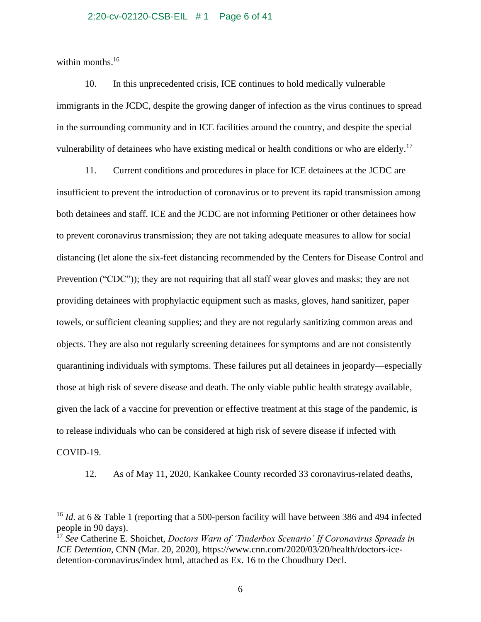## 2:20-cv-02120-CSB-EIL # 1 Page 6 of 41

within months. 16

10. In this unprecedented crisis, ICE continues to hold medically vulnerable immigrants in the JCDC, despite the growing danger of infection as the virus continues to spread in the surrounding community and in ICE facilities around the country, and despite the special vulnerability of detainees who have existing medical or health conditions or who are elderly.<sup>17</sup>

11. Current conditions and procedures in place for ICE detainees at the JCDC are insufficient to prevent the introduction of coronavirus or to prevent its rapid transmission among both detainees and staff. ICE and the JCDC are not informing Petitioner or other detainees how to prevent coronavirus transmission; they are not taking adequate measures to allow for social distancing (let alone the six-feet distancing recommended by the Centers for Disease Control and Prevention ("CDC")); they are not requiring that all staff wear gloves and masks; they are not providing detainees with prophylactic equipment such as masks, gloves, hand sanitizer, paper towels, or sufficient cleaning supplies; and they are not regularly sanitizing common areas and objects. They are also not regularly screening detainees for symptoms and are not consistently quarantining individuals with symptoms. These failures put all detainees in jeopardy—especially those at high risk of severe disease and death. The only viable public health strategy available, given the lack of a vaccine for prevention or effective treatment at this stage of the pandemic, is to release individuals who can be considered at high risk of severe disease if infected with COVID-19.

12. As of May 11, 2020, Kankakee County recorded 33 coronavirus-related deaths,

<sup>&</sup>lt;sup>16</sup> *Id.* at 6 & Table 1 (reporting that a 500-person facility will have between 386 and 494 infected people in 90 days).

<sup>17</sup> *See* Catherine E. Shoichet, *Doctors Warn of 'Tinderbox Scenario' If Coronavirus Spreads in ICE Detention*, CNN (Mar. 20, 2020), https://www.cnn.com/2020/03/20/health/doctors-icedetention-coronavirus/index html, attached as Ex. 16 to the Choudhury Decl.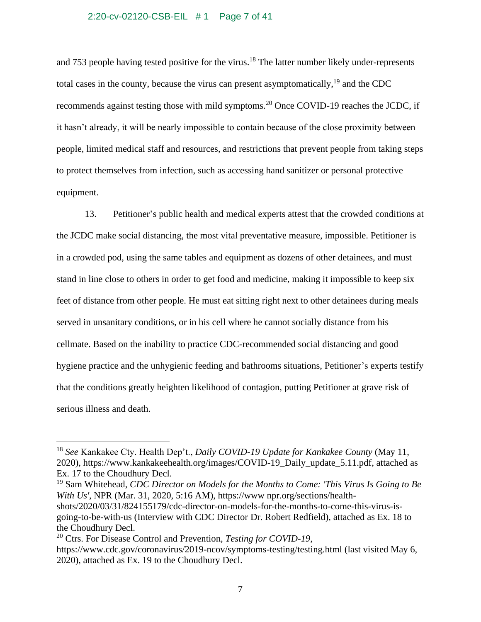## 2:20-cv-02120-CSB-EIL # 1 Page 7 of 41

and 753 people having tested positive for the virus.<sup>18</sup> The latter number likely under-represents total cases in the county, because the virus can present asymptomatically,  $19$  and the CDC recommends against testing those with mild symptoms.<sup>20</sup> Once COVID-19 reaches the JCDC, if it hasn't already, it will be nearly impossible to contain because of the close proximity between people, limited medical staff and resources, and restrictions that prevent people from taking steps to protect themselves from infection, such as accessing hand sanitizer or personal protective equipment.

13. Petitioner's public health and medical experts attest that the crowded conditions at the JCDC make social distancing, the most vital preventative measure, impossible. Petitioner is in a crowded pod, using the same tables and equipment as dozens of other detainees, and must stand in line close to others in order to get food and medicine, making it impossible to keep six feet of distance from other people. He must eat sitting right next to other detainees during meals served in unsanitary conditions, or in his cell where he cannot socially distance from his cellmate. Based on the inability to practice CDC-recommended social distancing and good hygiene practice and the unhygienic feeding and bathrooms situations, Petitioner's experts testify that the conditions greatly heighten likelihood of contagion, putting Petitioner at grave risk of serious illness and death.

<sup>19</sup> Sam Whitehead, *CDC Director on Models for the Months to Come: 'This Virus Is Going to Be With Us'*, NPR (Mar. 31, 2020, 5:16 AM), https://www npr.org/sections/health-

<sup>18</sup> *See* Kankakee Cty. Health Dep't., *Daily COVID-19 Update for Kankakee County* (May 11, 2020), [https://www.kankakeehealth.org/images/COVID-19\\_Daily\\_update\\_5.11.pdf,](https://www.kankakeehealth.org/images/COVID-19_Daily_update_5.11.pdf) attached as Ex. 17 to the Choudhury Decl.

shots/2020/03/31/824155179/cdc-director-on-models-for-the-months-to-come-this-virus-isgoing-to-be-with-us (Interview with CDC Director Dr. Robert Redfield), attached as Ex. 18 to the Choudhury Decl.

<sup>20</sup> Ctrs. For Disease Control and Prevention, *Testing for COVID-19*, https://www.cdc.gov/coronavirus/2019-ncov/symptoms-testing/testing.html (last visited May 6, 2020), attached as Ex. 19 to the Choudhury Decl.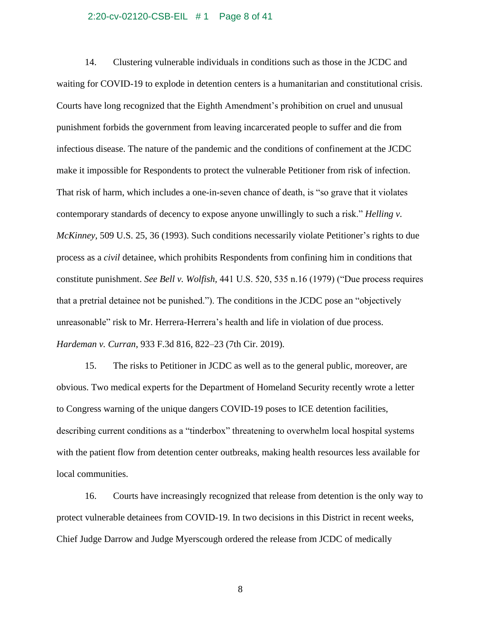#### 2:20-cv-02120-CSB-EIL # 1 Page 8 of 41

14. Clustering vulnerable individuals in conditions such as those in the JCDC and waiting for COVID-19 to explode in detention centers is a humanitarian and constitutional crisis. Courts have long recognized that the Eighth Amendment's prohibition on cruel and unusual punishment forbids the government from leaving incarcerated people to suffer and die from infectious disease. The nature of the pandemic and the conditions of confinement at the JCDC make it impossible for Respondents to protect the vulnerable Petitioner from risk of infection. That risk of harm, which includes a one-in-seven chance of death, is "so grave that it violates contemporary standards of decency to expose anyone unwillingly to such a risk." *Helling v. McKinney*, 509 U.S. 25, 36 (1993). Such conditions necessarily violate Petitioner's rights to due process as a *civil* detainee, which prohibits Respondents from confining him in conditions that constitute punishment. *See Bell v. Wolfish,* 441 U.S. 520, 535 n.16 (1979) ("Due process requires that a pretrial detainee not be punished."). The conditions in the JCDC pose an "objectively unreasonable" risk to Mr. Herrera-Herrera's health and life in violation of due process. *Hardeman v. Curran*, 933 F.3d 816, 822–23 (7th Cir. 2019).

15. The risks to Petitioner in JCDC as well as to the general public, moreover, are obvious. Two medical experts for the Department of Homeland Security recently wrote a letter to Congress warning of the unique dangers COVID-19 poses to ICE detention facilities, describing current conditions as a "tinderbox" threatening to overwhelm local hospital systems with the patient flow from detention center outbreaks, making health resources less available for local communities.

16. Courts have increasingly recognized that release from detention is the only way to protect vulnerable detainees from COVID-19. In two decisions in this District in recent weeks, Chief Judge Darrow and Judge Myerscough ordered the release from JCDC of medically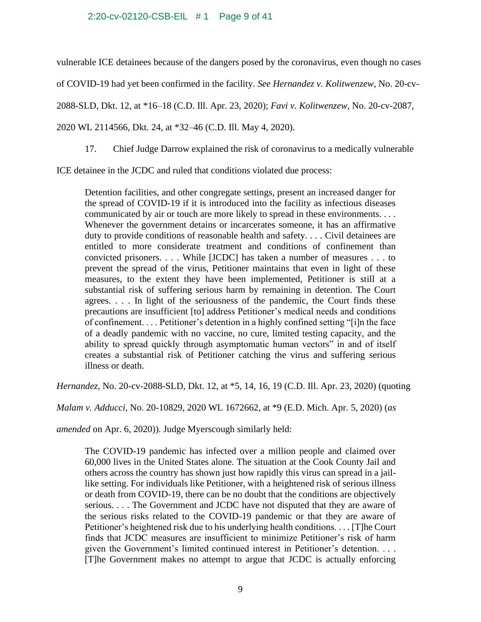## 2:20-cv-02120-CSB-EIL # 1 Page 9 of 41

vulnerable ICE detainees because of the dangers posed by the coronavirus, even though no cases of COVID-19 had yet been confirmed in the facility. *See Hernandez v. Kolitwenzew*, No. 20-cv-2088-SLD, Dkt. 12, at \*16–18 (C.D. Ill. Apr. 23, 2020); *Favi v. Kolitwenzew*, No. 20-cv-2087, 2020 WL 2114566, Dkt. 24, at \*32–46 (C.D. Ill. May 4, 2020).

17. Chief Judge Darrow explained the risk of coronavirus to a medically vulnerable

ICE detainee in the JCDC and ruled that conditions violated due process:

Detention facilities, and other congregate settings, present an increased danger for the spread of COVID-19 if it is introduced into the facility as infectious diseases communicated by air or touch are more likely to spread in these environments. . . . Whenever the government detains or incarcerates someone, it has an affirmative duty to provide conditions of reasonable health and safety. . . . Civil detainees are entitled to more considerate treatment and conditions of confinement than convicted prisoners. . . . While [JCDC] has taken a number of measures . . . to prevent the spread of the virus, Petitioner maintains that even in light of these measures, to the extent they have been implemented, Petitioner is still at a substantial risk of suffering serious harm by remaining in detention. The Court agrees. . . . In light of the seriousness of the pandemic, the Court finds these precautions are insufficient [to] address Petitioner's medical needs and conditions of confinement. . . . Petitioner's detention in a highly confined setting "[i]n the face of a deadly pandemic with no vaccine, no cure, limited testing capacity, and the ability to spread quickly through asymptomatic human vectors" in and of itself creates a substantial risk of Petitioner catching the virus and suffering serious illness or death.

*Hernandez*, No. 20-cv-2088-SLD, Dkt. 12, at \*5, 14, 16, 19 (C.D. Ill. Apr. 23, 2020) (quoting

*Malam v. Adducci,* No. 20-10829, 2020 WL 1672662, at \*9 (E.D. Mich. Apr. 5, 2020) (*as* 

*amended* on Apr. 6, 2020)). Judge Myerscough similarly held:

The COVID-19 pandemic has infected over a million people and claimed over 60,000 lives in the United States alone. The situation at the Cook County Jail and others across the country has shown just how rapidly this virus can spread in a jaillike setting. For individuals like Petitioner, with a heightened risk of serious illness or death from COVID-19, there can be no doubt that the conditions are objectively serious. . . . The Government and JCDC have not disputed that they are aware of the serious risks related to the COVID-19 pandemic or that they are aware of Petitioner's heightened risk due to his underlying health conditions. . . . [T]he Court finds that JCDC measures are insufficient to minimize Petitioner's risk of harm given the Government's limited continued interest in Petitioner's detention. . . . [T]he Government makes no attempt to argue that JCDC is actually enforcing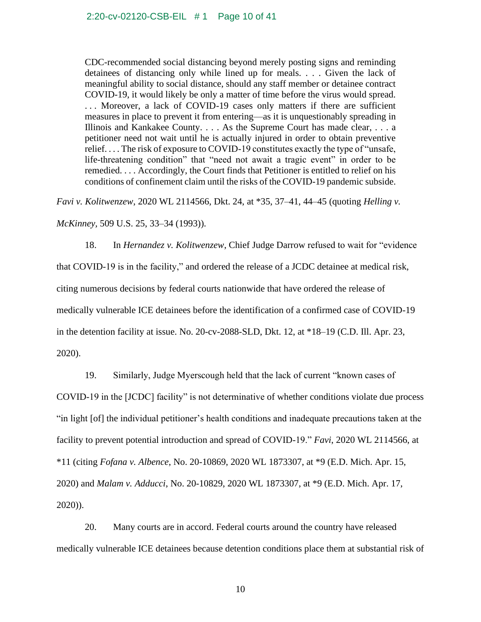CDC-recommended social distancing beyond merely posting signs and reminding detainees of distancing only while lined up for meals. . . . Given the lack of meaningful ability to social distance, should any staff member or detainee contract COVID-19, it would likely be only a matter of time before the virus would spread. ... Moreover, a lack of COVID-19 cases only matters if there are sufficient measures in place to prevent it from entering—as it is unquestionably spreading in Illinois and Kankakee County. . . . As the Supreme Court has made clear, . . . a petitioner need not wait until he is actually injured in order to obtain preventive relief. . . . The risk of exposure to COVID-19 constitutes exactly the type of "unsafe, life-threatening condition" that "need not await a tragic event" in order to be remedied. . . . Accordingly, the Court finds that Petitioner is entitled to relief on his conditions of confinement claim until the risks of the COVID-19 pandemic subside.

*Favi v. Kolitwenzew*, 2020 WL 2114566, Dkt. 24, at \*35, 37–41, 44–45 (quoting *Helling v.* 

*McKinney,* 509 U.S. 25, 33–34 (1993)).

18. In *Hernandez v. Kolitwenzew*, Chief Judge Darrow refused to wait for "evidence that COVID-19 is in the facility," and ordered the release of a JCDC detainee at medical risk, citing numerous decisions by federal courts nationwide that have ordered the release of medically vulnerable ICE detainees before the identification of a confirmed case of COVID-19 in the detention facility at issue. No. 20-cv-2088-SLD, Dkt. 12, at \*18–19 (C.D. Ill. Apr. 23, 2020).

19. Similarly, Judge Myerscough held that the lack of current "known cases of COVID-19 in the [JCDC] facility" is not determinative of whether conditions violate due process "in light [of] the individual petitioner's health conditions and inadequate precautions taken at the facility to prevent potential introduction and spread of COVID-19." *Favi*, 2020 WL 2114566, at \*11 (citing *Fofana v. Albence*, No. 20-10869, 2020 WL 1873307, at \*9 (E.D. Mich. Apr. 15, 2020) and *Malam v. Adducci*, No. 20-10829, 2020 WL 1873307, at \*9 (E.D. Mich. Apr. 17, 2020)).

20. Many courts are in accord. Federal courts around the country have released medically vulnerable ICE detainees because detention conditions place them at substantial risk of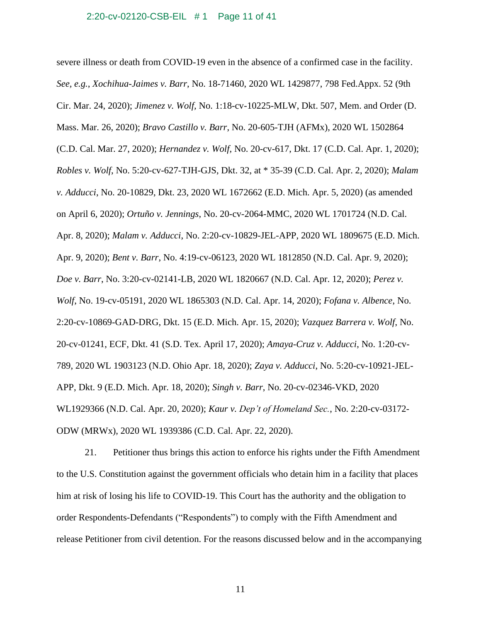#### 2:20-cv-02120-CSB-EIL # 1 Page 11 of 41

severe illness or death from COVID-19 even in the absence of a confirmed case in the facility. *See, e.g.*, *Xochihua-Jaimes v. Barr*, No. 18-71460, 2020 WL 1429877, 798 Fed.Appx. 52 (9th Cir. Mar. 24, 2020); *Jimenez v. Wolf,* No. 1:18-cv-10225-MLW, Dkt. 507, Mem. and Order (D. Mass. Mar. 26, 2020); *Bravo Castillo v. Barr*, No. 20-605-TJH (AFMx), 2020 WL 1502864 (C.D. Cal. Mar. 27, 2020); *Hernandez v. Wolf*, No. 20-cv-617, Dkt. 17 (C.D. Cal. Apr. 1, 2020); *Robles v. Wolf*, No. 5:20-cv-627-TJH-GJS, Dkt. 32, at \* 35-39 (C.D. Cal. Apr. 2, 2020); *Malam v. Adducci*, No. 20-10829, Dkt. 23, 2020 WL 1672662 (E.D. Mich. Apr. 5, 2020) (as amended on April 6, 2020); *Ortuño v. Jennings*, No. 20-cv-2064-MMC, 2020 WL 1701724 (N.D. Cal. Apr. 8, 2020); *Malam v. Adducci*, No. 2:20-cv-10829-JEL-APP, 2020 WL 1809675 (E.D. Mich. Apr. 9, 2020); *Bent v. Barr*, No. 4:19-cv-06123, 2020 WL 1812850 (N.D. Cal. Apr. 9, 2020); *Doe v. Barr*, No. 3:20-cv-02141-LB, 2020 WL 1820667 (N.D. Cal. Apr. 12, 2020); *Perez v. Wolf*, No. 19-cv-05191, 2020 WL 1865303 (N.D. Cal. Apr. 14, 2020); *Fofana v. Albence*, No. 2:20-cv-10869-GAD-DRG, Dkt. 15 (E.D. Mich. Apr. 15, 2020); *Vazquez Barrera v. Wolf*, No. 20-cv-01241, ECF, Dkt. 41 (S.D. Tex. April 17, 2020); *Amaya-Cruz v. Adducci*, No. 1:20-cv-789, 2020 WL 1903123 (N.D. Ohio Apr. 18, 2020); *Zaya v. Adducci*, No. 5:20-cv-10921-JEL-APP, Dkt. 9 (E.D. Mich. Apr. 18, 2020); *Singh v. Barr*, No. 20-cv-02346-VKD, 2020 WL1929366 (N.D. Cal. Apr. 20, 2020); *Kaur v. Dep't of Homeland Sec.*, No. 2:20-cv-03172- ODW (MRWx), 2020 WL 1939386 (C.D. Cal. Apr. 22, 2020).

21. Petitioner thus brings this action to enforce his rights under the Fifth Amendment to the U.S. Constitution against the government officials who detain him in a facility that places him at risk of losing his life to COVID-19. This Court has the authority and the obligation to order Respondents-Defendants ("Respondents") to comply with the Fifth Amendment and release Petitioner from civil detention. For the reasons discussed below and in the accompanying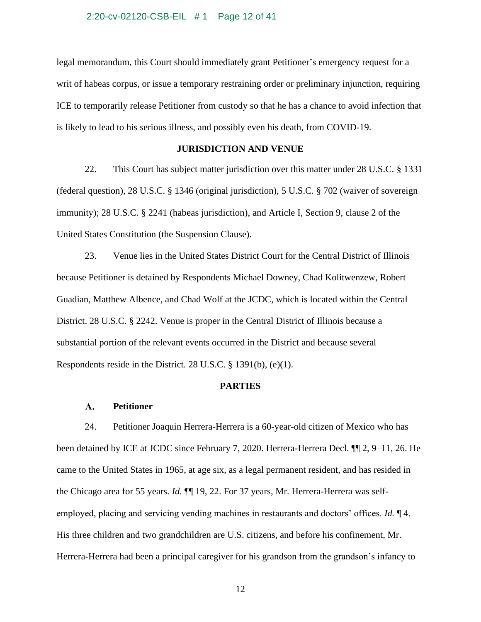#### 2:20-cv-02120-CSB-EIL # 1 Page 12 of 41

legal memorandum, this Court should immediately grant Petitioner's emergency request for a writ of habeas corpus, or issue a temporary restraining order or preliminary injunction, requiring ICE to temporarily release Petitioner from custody so that he has a chance to avoid infection that is likely to lead to his serious illness, and possibly even his death, from COVID-19.

## **JURISDICTION AND VENUE**

22. This Court has subject matter jurisdiction over this matter under 28 U.S.C. § 1331 (federal question), 28 U.S.C. § 1346 (original jurisdiction), 5 U.S.C. § 702 (waiver of sovereign immunity); 28 U.S.C. § 2241 (habeas jurisdiction), and Article I, Section 9, clause 2 of the United States Constitution (the Suspension Clause).

23. Venue lies in the United States District Court for the Central District of Illinois because Petitioner is detained by Respondents Michael Downey, Chad Kolitwenzew, Robert Guadian, Matthew Albence, and Chad Wolf at the JCDC, which is located within the Central District. 28 U.S.C. § 2242. Venue is proper in the Central District of Illinois because a substantial portion of the relevant events occurred in the District and because several Respondents reside in the District. 28 U.S.C. § 1391(b), (e)(1).

## **PARTIES**

#### $\mathbf{A}_{\bullet}$ **Petitioner**

24. Petitioner Joaquin Herrera-Herrera is a 60-year-old citizen of Mexico who has been detained by ICE at JCDC since February 7, 2020. Herrera-Herrera Decl. ¶¶ 2, 9–11, 26. He came to the United States in 1965, at age six, as a legal permanent resident, and has resided in the Chicago area for 55 years. *Id.* ¶¶ 19, 22. For 37 years, Mr. Herrera-Herrera was selfemployed, placing and servicing vending machines in restaurants and doctors' offices. *Id.* ¶ 4. His three children and two grandchildren are U.S. citizens, and before his confinement, Mr. Herrera-Herrera had been a principal caregiver for his grandson from the grandson's infancy to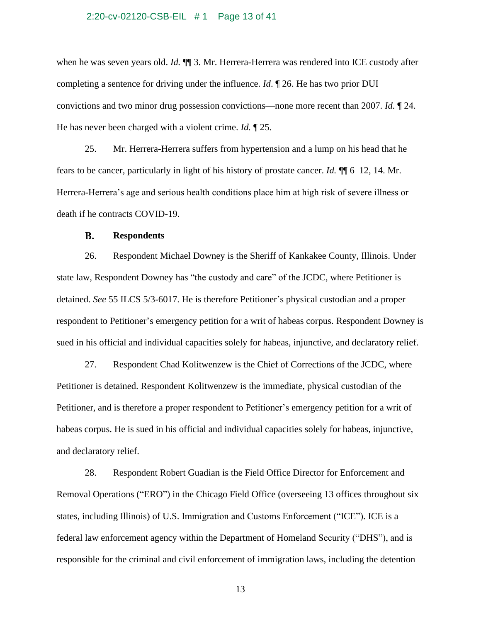#### 2:20-cv-02120-CSB-EIL # 1 Page 13 of 41

when he was seven years old. *Id.* ¶¶ 3. Mr. Herrera-Herrera was rendered into ICE custody after completing a sentence for driving under the influence. *Id*. ¶ 26. He has two prior DUI convictions and two minor drug possession convictions—none more recent than 2007. *Id.* ¶ 24. He has never been charged with a violent crime. *Id.* ¶ 25.

25. Mr. Herrera-Herrera suffers from hypertension and a lump on his head that he fears to be cancer, particularly in light of his history of prostate cancer. *Id.* ¶¶ 6–12, 14. Mr. Herrera-Herrera's age and serious health conditions place him at high risk of severe illness or death if he contracts COVID-19.

#### $\mathbf{B}$ . **Respondents**

26. Respondent Michael Downey is the Sheriff of Kankakee County, Illinois. Under state law, Respondent Downey has "the custody and care" of the JCDC, where Petitioner is detained. *See* 55 ILCS 5/3-6017. He is therefore Petitioner's physical custodian and a proper respondent to Petitioner's emergency petition for a writ of habeas corpus. Respondent Downey is sued in his official and individual capacities solely for habeas, injunctive, and declaratory relief.

27. Respondent Chad Kolitwenzew is the Chief of Corrections of the JCDC, where Petitioner is detained. Respondent Kolitwenzew is the immediate, physical custodian of the Petitioner, and is therefore a proper respondent to Petitioner's emergency petition for a writ of habeas corpus. He is sued in his official and individual capacities solely for habeas, injunctive, and declaratory relief.

28. Respondent Robert Guadian is the Field Office Director for Enforcement and Removal Operations ("ERO") in the Chicago Field Office (overseeing 13 offices throughout six states, including Illinois) of U.S. Immigration and Customs Enforcement ("ICE"). ICE is a federal law enforcement agency within the Department of Homeland Security ("DHS"), and is responsible for the criminal and civil enforcement of immigration laws, including the detention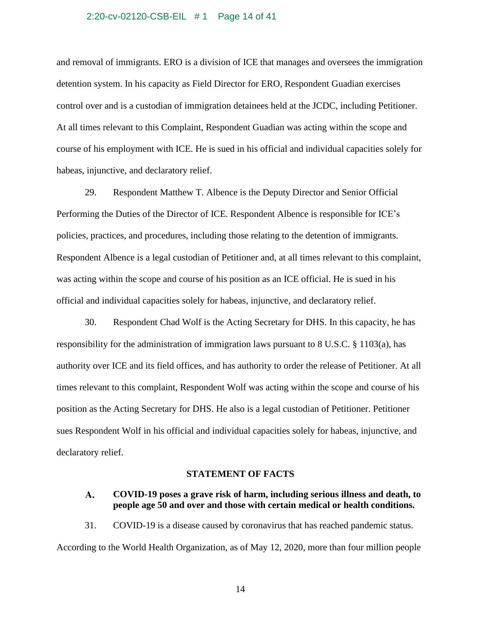#### 2:20-cv-02120-CSB-EIL # 1 Page 14 of 41

and removal of immigrants. ERO is a division of ICE that manages and oversees the immigration detention system. In his capacity as Field Director for ERO, Respondent Guadian exercises control over and is a custodian of immigration detainees held at the JCDC, including Petitioner. At all times relevant to this Complaint, Respondent Guadian was acting within the scope and course of his employment with ICE. He is sued in his official and individual capacities solely for habeas, injunctive, and declaratory relief.

29. Respondent Matthew T. Albence is the Deputy Director and Senior Official Performing the Duties of the Director of ICE. Respondent Albence is responsible for ICE's policies, practices, and procedures, including those relating to the detention of immigrants. Respondent Albence is a legal custodian of Petitioner and, at all times relevant to this complaint, was acting within the scope and course of his position as an ICE official. He is sued in his official and individual capacities solely for habeas, injunctive, and declaratory relief.

30. Respondent Chad Wolf is the Acting Secretary for DHS. In this capacity, he has responsibility for the administration of immigration laws pursuant to 8 U.S.C. § 1103(a), has authority over ICE and its field offices, and has authority to order the release of Petitioner. At all times relevant to this complaint, Respondent Wolf was acting within the scope and course of his position as the Acting Secretary for DHS. He also is a legal custodian of Petitioner. Petitioner sues Respondent Wolf in his official and individual capacities solely for habeas, injunctive, and declaratory relief.

## **STATEMENT OF FACTS**

#### **COVID-19 poses a grave risk of harm, including serious illness and death, to** A. **people age 50 and over and those with certain medical or health conditions.**

31. COVID-19 is a disease caused by coronavirus that has reached pandemic status. According to the World Health Organization, as of May 12, 2020, more than four million people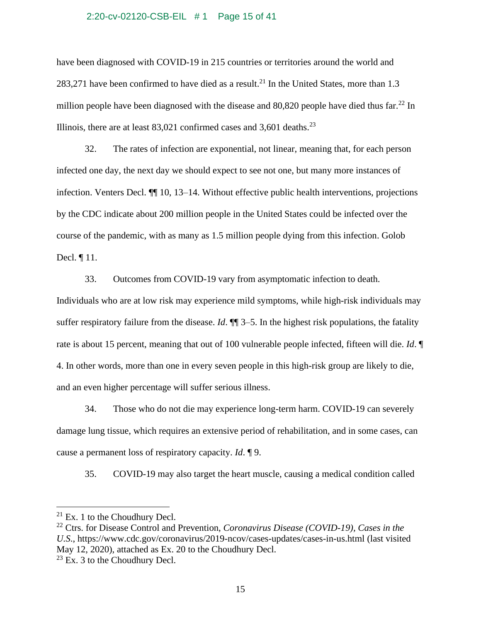#### 2:20-cv-02120-CSB-EIL # 1 Page 15 of 41

have been diagnosed with COVID-19 in 215 countries or territories around the world and 283,271 have been confirmed to have died as a result.<sup>21</sup> In the United States, more than 1.3 million people have been diagnosed with the disease and  $80,820$  people have died thus far.<sup>22</sup> In Illinois, there are at least  $83,021$  confirmed cases and  $3,601$  deaths.<sup>23</sup>

32. The rates of infection are exponential, not linear, meaning that, for each person infected one day, the next day we should expect to see not one, but many more instances of infection. Venters Decl. ¶¶ 10, 13–14. Without effective public health interventions, projections by the CDC indicate about 200 million people in the United States could be infected over the course of the pandemic, with as many as 1.5 million people dying from this infection. Golob Decl. ¶ 11.

33. Outcomes from COVID-19 vary from asymptomatic infection to death. Individuals who are at low risk may experience mild symptoms, while high-risk individuals may suffer respiratory failure from the disease. *Id*. ¶¶ 3–5. In the highest risk populations, the fatality rate is about 15 percent, meaning that out of 100 vulnerable people infected, fifteen will die. *Id*. ¶ 4. In other words, more than one in every seven people in this high-risk group are likely to die, and an even higher percentage will suffer serious illness.

34. Those who do not die may experience long-term harm. COVID-19 can severely damage lung tissue, which requires an extensive period of rehabilitation, and in some cases, can cause a permanent loss of respiratory capacity. *Id*. ¶ 9.

35. COVID-19 may also target the heart muscle, causing a medical condition called

 $21$  Ex. 1 to the Choudhury Decl.

<sup>22</sup> Ctrs. for Disease Control and Prevention, *Coronavirus Disease (COVID-19), Cases in the U.S*.,<https://www.cdc.gov/coronavirus/2019-ncov/cases-updates/cases-in-us.html> (last visited May 12, 2020), attached as Ex. 20 to the Choudhury Decl.

 $23$  Ex. 3 to the Choudhury Decl.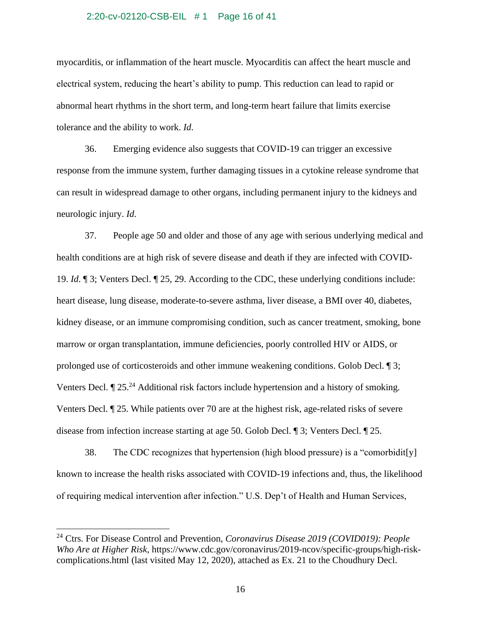#### 2:20-cv-02120-CSB-EIL # 1 Page 16 of 41

myocarditis, or inflammation of the heart muscle. Myocarditis can affect the heart muscle and electrical system, reducing the heart's ability to pump. This reduction can lead to rapid or abnormal heart rhythms in the short term, and long-term heart failure that limits exercise tolerance and the ability to work. *Id*.

36. Emerging evidence also suggests that COVID-19 can trigger an excessive response from the immune system, further damaging tissues in a cytokine release syndrome that can result in widespread damage to other organs, including permanent injury to the kidneys and neurologic injury. *Id*.

37. People age 50 and older and those of any age with serious underlying medical and health conditions are at high risk of severe disease and death if they are infected with COVID-19. *Id*. ¶ 3; Venters Decl. ¶ 25, 29. According to the CDC, these underlying conditions include: heart disease, lung disease, moderate-to-severe asthma, liver disease, a BMI over 40, diabetes, kidney disease, or an immune compromising condition, such as cancer treatment, smoking, bone marrow or organ transplantation, immune deficiencies, poorly controlled HIV or AIDS, or prolonged use of corticosteroids and other immune weakening conditions. Golob Decl. ¶ 3; Venters Decl.  $\mathbb{I}$  25.<sup>24</sup> Additional risk factors include hypertension and a history of smoking. Venters Decl. ¶ 25. While patients over 70 are at the highest risk, age-related risks of severe disease from infection increase starting at age 50. Golob Decl. ¶ 3; Venters Decl. ¶ 25.

38. The CDC recognizes that hypertension (high blood pressure) is a "comorbidit[y] known to increase the health risks associated with COVID-19 infections and, thus, the likelihood of requiring medical intervention after infection." U.S. Dep't of Health and Human Services,

<sup>24</sup> Ctrs. For Disease Control and Prevention, *Coronavirus Disease 2019 (COVID019): People Who Are at Higher Risk*, [https://www.cdc.gov/coronavirus/2019-ncov/specific-groups/high-risk](https://www.cdc.gov/coronavirus/2019-ncov/specific-groups/high-risk-complications.html)[complications.html](https://www.cdc.gov/coronavirus/2019-ncov/specific-groups/high-risk-complications.html) (last visited May 12, 2020), attached as Ex. 21 to the Choudhury Decl.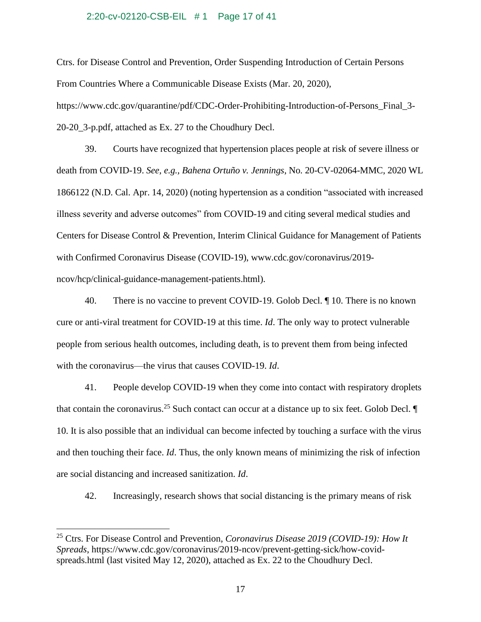#### 2:20-cv-02120-CSB-EIL # 1 Page 17 of 41

Ctrs. for Disease Control and Prevention, Order Suspending Introduction of Certain Persons From Countries Where a Communicable Disease Exists (Mar. 20, 2020), [https://www.cdc.gov/quarantine/pdf/CDC-Order-Prohibiting-Introduction-of-Persons\\_Final\\_3-](https://www.cdc.gov/quarantine/pdf/CDC-Order-Prohibiting-Introduction-of-Persons_Final_3-20-20_3-p.pdf)

[20-20\\_3-p.pdf,](https://www.cdc.gov/quarantine/pdf/CDC-Order-Prohibiting-Introduction-of-Persons_Final_3-20-20_3-p.pdf) attached as Ex. 27 to the Choudhury Decl.

39. Courts have recognized that hypertension places people at risk of severe illness or death from COVID-19. *See, e.g., Bahena Ortuño v. Jennings*, No. 20-CV-02064-MMC, 2020 WL 1866122 (N.D. Cal. Apr. 14, 2020) (noting hypertension as a condition "associated with increased illness severity and adverse outcomes" from COVID-19 and citing several medical studies and Centers for Disease Control & Prevention, Interim Clinical Guidance for Management of Patients with Confirmed Coronavirus Disease (COVID-19), [www.cdc.gov/coronavirus/2019](http://www.cdc.gov/coronavirus/2019-ncov/hcp/clinical-guidance-management-patients.html) [ncov/hcp/clinical-guidance-management-patients.html\)](http://www.cdc.gov/coronavirus/2019-ncov/hcp/clinical-guidance-management-patients.html).

40. There is no vaccine to prevent COVID-19. Golob Decl. ¶ 10. There is no known cure or anti-viral treatment for COVID-19 at this time. *Id*. The only way to protect vulnerable people from serious health outcomes, including death, is to prevent them from being infected with the coronavirus—the virus that causes COVID-19. *Id*.

41. People develop COVID-19 when they come into contact with respiratory droplets that contain the coronavirus.<sup>25</sup> Such contact can occur at a distance up to six feet. Golob Decl.  $\P$ 10. It is also possible that an individual can become infected by touching a surface with the virus and then touching their face. *Id*. Thus, the only known means of minimizing the risk of infection are social distancing and increased sanitization. *Id*.

42. Increasingly, research shows that social distancing is the primary means of risk

<sup>25</sup> Ctrs. For Disease Control and Prevention, *Coronavirus Disease 2019 (COVID-19): How It Spreads*, https://www.cdc.gov/coronavirus/2019-ncov/prevent-getting-sick/how-covidspreads.html (last visited May 12, 2020), attached as Ex. 22 to the Choudhury Decl.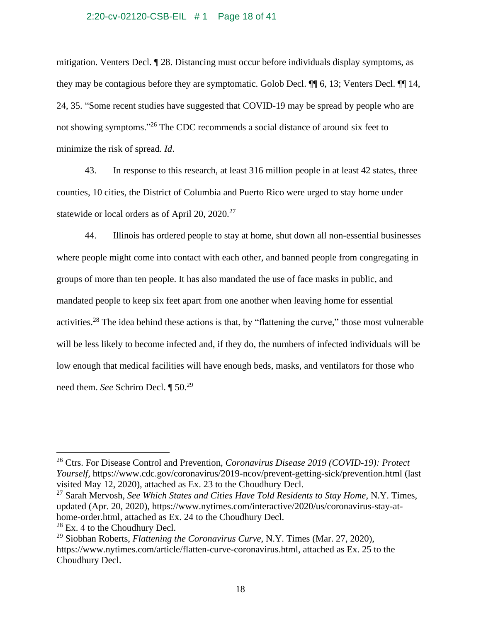#### 2:20-cv-02120-CSB-EIL # 1 Page 18 of 41

mitigation. Venters Decl. ¶ 28. Distancing must occur before individuals display symptoms, as they may be contagious before they are symptomatic. Golob Decl. ¶¶ 6, 13; Venters Decl. ¶¶ 14, 24, 35. "Some recent studies have suggested that COVID-19 may be spread by people who are not showing symptoms."<sup>26</sup> The CDC recommends a social distance of around six feet to minimize the risk of spread. *Id*.

43. In response to this research, at least 316 million people in at least 42 states, three counties, 10 cities, the District of Columbia and Puerto Rico were urged to stay home under statewide or local orders as of April 20, 2020.<sup>27</sup>

44. Illinois has ordered people to stay at home, shut down all non-essential businesses where people might come into contact with each other, and banned people from congregating in groups of more than ten people. It has also mandated the use of face masks in public, and mandated people to keep six feet apart from one another when leaving home for essential activities.<sup>28</sup> The idea behind these actions is that, by "flattening the curve," those most vulnerable will be less likely to become infected and, if they do, the numbers of infected individuals will be low enough that medical facilities will have enough beds, masks, and ventilators for those who need them. *See* Schriro Decl. ¶ 50. 29

<sup>26</sup> Ctrs. For Disease Control and Prevention, *Coronavirus Disease 2019 (COVID-19): Protect Yourself,* <https://www.cdc.gov/coronavirus/2019-ncov/prevent-getting-sick/prevention.html> (last visited May 12, 2020), attached as Ex. 23 to the Choudhury Decl.

<sup>27</sup> Sarah Mervosh, *See Which States and Cities Have Told Residents to Stay Home*, N.Y. Times, updated (Apr. 20, 2020), [https://www.nytimes.com/interactive/2020/us/coronavirus-stay-at](https://www.nytimes.com/interactive/2020/us/coronavirus-stay-at-home-order.html)[home-order.html,](https://www.nytimes.com/interactive/2020/us/coronavirus-stay-at-home-order.html) attached as Ex. 24 to the Choudhury Decl.  $28$  Ex. 4 to the Choudhury Decl.

<sup>29</sup> Siobhan Roberts, *Flattening the Coronavirus Curve*, N.Y. Times (Mar. 27, 2020), [https://www.nytimes.com/article/flatten-curve-coronavirus.html,](https://www.nytimes.com/article/flatten-curve-coronavirus.html) attached as Ex. 25 to the Choudhury Decl.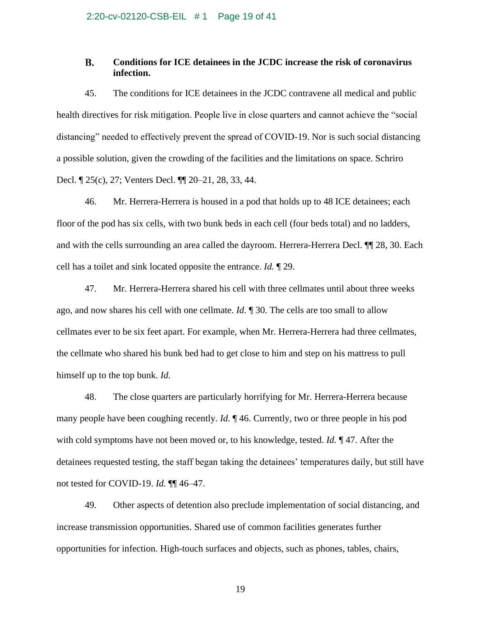#### **B. Conditions for ICE detainees in the JCDC increase the risk of coronavirus infection.**

45. The conditions for ICE detainees in the JCDC contravene all medical and public health directives for risk mitigation. People live in close quarters and cannot achieve the "social distancing" needed to effectively prevent the spread of COVID-19. Nor is such social distancing a possible solution, given the crowding of the facilities and the limitations on space. Schriro Decl. ¶ 25(c), 27; Venters Decl. ¶¶ 20–21, 28, 33, 44.

46. Mr. Herrera-Herrera is housed in a pod that holds up to 48 ICE detainees; each floor of the pod has six cells, with two bunk beds in each cell (four beds total) and no ladders, and with the cells surrounding an area called the dayroom. Herrera-Herrera Decl. ¶¶ 28, 30. Each cell has a toilet and sink located opposite the entrance. *Id.* ¶ 29.

47. Mr. Herrera-Herrera shared his cell with three cellmates until about three weeks ago, and now shares his cell with one cellmate. *Id.* ¶ 30. The cells are too small to allow cellmates ever to be six feet apart. For example, when Mr. Herrera-Herrera had three cellmates, the cellmate who shared his bunk bed had to get close to him and step on his mattress to pull himself up to the top bunk. *Id.*

48. The close quarters are particularly horrifying for Mr. Herrera-Herrera because many people have been coughing recently. *Id*.  $\mathbb{I}$  46. Currently, two or three people in his pod with cold symptoms have not been moved or, to his knowledge, tested. *Id.* ¶ 47. After the detainees requested testing, the staff began taking the detainees' temperatures daily, but still have not tested for COVID-19. *Id.* ¶¶ 46–47.

49. Other aspects of detention also preclude implementation of social distancing, and increase transmission opportunities. Shared use of common facilities generates further opportunities for infection. High-touch surfaces and objects, such as phones, tables, chairs,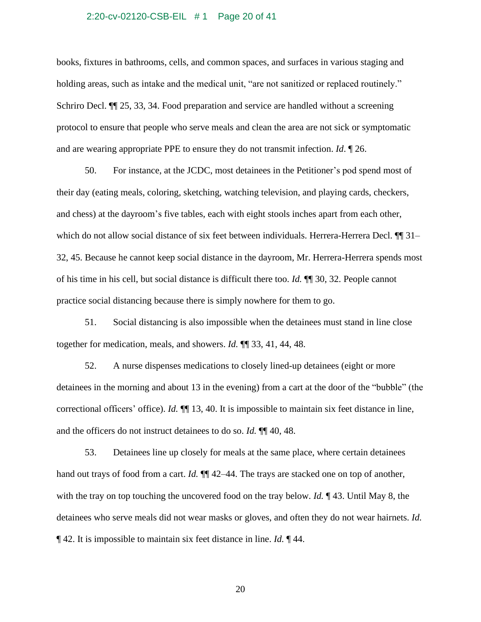#### 2:20-cv-02120-CSB-EIL # 1 Page 20 of 41

books, fixtures in bathrooms, cells, and common spaces, and surfaces in various staging and holding areas, such as intake and the medical unit, "are not sanitized or replaced routinely." Schriro Decl. ¶¶ 25, 33, 34. Food preparation and service are handled without a screening protocol to ensure that people who serve meals and clean the area are not sick or symptomatic and are wearing appropriate PPE to ensure they do not transmit infection. *Id*. ¶ 26.

50. For instance, at the JCDC, most detainees in the Petitioner's pod spend most of their day (eating meals, coloring, sketching, watching television, and playing cards, checkers, and chess) at the dayroom's five tables, each with eight stools inches apart from each other, which do not allow social distance of six feet between individuals. Herrera-Herrera Decl.  $\P$  31– 32, 45. Because he cannot keep social distance in the dayroom, Mr. Herrera-Herrera spends most of his time in his cell, but social distance is difficult there too. *Id.* ¶¶ 30, 32. People cannot practice social distancing because there is simply nowhere for them to go.

51. Social distancing is also impossible when the detainees must stand in line close together for medication, meals, and showers. *Id.* ¶¶ 33, 41, 44, 48.

52. A nurse dispenses medications to closely lined-up detainees (eight or more detainees in the morning and about 13 in the evening) from a cart at the door of the "bubble" (the correctional officers' office). *Id.* ¶¶ 13, 40. It is impossible to maintain six feet distance in line, and the officers do not instruct detainees to do so. *Id.* ¶¶ 40, 48.

53. Detainees line up closely for meals at the same place, where certain detainees hand out trays of food from a cart. *Id.*  $\P$  42–44. The trays are stacked one on top of another, with the tray on top touching the uncovered food on the tray below. *Id.* ¶ 43. Until May 8, the detainees who serve meals did not wear masks or gloves, and often they do not wear hairnets. *Id.* ¶ 42. It is impossible to maintain six feet distance in line. *Id.* ¶ 44.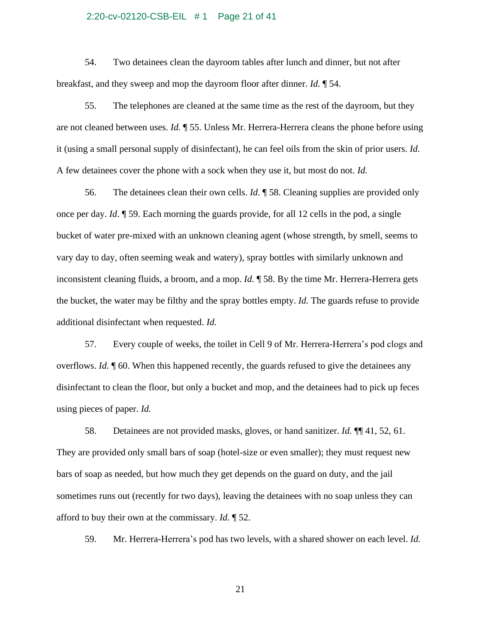#### 2:20-cv-02120-CSB-EIL # 1 Page 21 of 41

54. Two detainees clean the dayroom tables after lunch and dinner, but not after breakfast, and they sweep and mop the dayroom floor after dinner. *Id.* ¶ 54.

55. The telephones are cleaned at the same time as the rest of the dayroom, but they are not cleaned between uses. *Id.* ¶ 55. Unless Mr. Herrera-Herrera cleans the phone before using it (using a small personal supply of disinfectant), he can feel oils from the skin of prior users. *Id.*  A few detainees cover the phone with a sock when they use it, but most do not. *Id.*

56. The detainees clean their own cells. *Id.* ¶ 58. Cleaning supplies are provided only once per day. *Id*. ¶ 59. Each morning the guards provide, for all 12 cells in the pod, a single bucket of water pre-mixed with an unknown cleaning agent (whose strength, by smell, seems to vary day to day, often seeming weak and watery), spray bottles with similarly unknown and inconsistent cleaning fluids, a broom, and a mop. *Id.* ¶ 58. By the time Mr. Herrera-Herrera gets the bucket, the water may be filthy and the spray bottles empty. *Id.* The guards refuse to provide additional disinfectant when requested. *Id.*

57. Every couple of weeks, the toilet in Cell 9 of Mr. Herrera-Herrera's pod clogs and overflows. *Id.* ¶ 60. When this happened recently, the guards refused to give the detainees any disinfectant to clean the floor, but only a bucket and mop, and the detainees had to pick up feces using pieces of paper. *Id.*

58. Detainees are not provided masks, gloves, or hand sanitizer. *Id.* ¶¶ 41, 52, 61. They are provided only small bars of soap (hotel-size or even smaller); they must request new bars of soap as needed, but how much they get depends on the guard on duty, and the jail sometimes runs out (recently for two days), leaving the detainees with no soap unless they can afford to buy their own at the commissary. *Id.* ¶ 52.

59. Mr. Herrera-Herrera's pod has two levels, with a shared shower on each level. *Id.*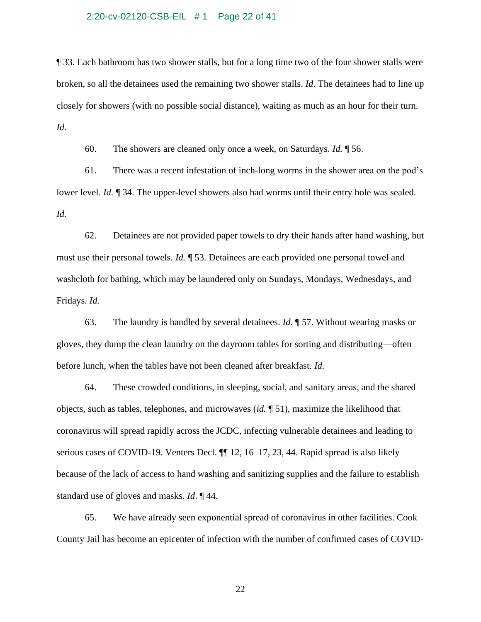#### 2:20-cv-02120-CSB-EIL # 1 Page 22 of 41

¶ 33. Each bathroom has two shower stalls, but for a long time two of the four shower stalls were broken, so all the detainees used the remaining two shower stalls. *Id*. The detainees had to line up closely for showers (with no possible social distance), waiting as much as an hour for their turn. *Id.* 

60. The showers are cleaned only once a week, on Saturdays. *Id.* ¶ 56.

61. There was a recent infestation of inch-long worms in the shower area on the pod's lower level. *Id.* ¶ 34. The upper-level showers also had worms until their entry hole was sealed. *Id.*

62. Detainees are not provided paper towels to dry their hands after hand washing, but must use their personal towels. *Id.* ¶ 53. Detainees are each provided one personal towel and washcloth for bathing, which may be laundered only on Sundays, Mondays, Wednesdays, and Fridays. *Id.* 

63. The laundry is handled by several detainees. *Id.* ¶ 57. Without wearing masks or gloves, they dump the clean laundry on the dayroom tables for sorting and distributing—often before lunch, when the tables have not been cleaned after breakfast. *Id.*

64. These crowded conditions, in sleeping, social, and sanitary areas, and the shared objects, such as tables, telephones, and microwaves (*id.* ¶ 51), maximize the likelihood that coronavirus will spread rapidly across the JCDC, infecting vulnerable detainees and leading to serious cases of COVID-19. Venters Decl. ¶¶ 12, 16–17, 23, 44. Rapid spread is also likely because of the lack of access to hand washing and sanitizing supplies and the failure to establish standard use of gloves and masks. *Id*. ¶ 44.

65. We have already seen exponential spread of coronavirus in other facilities. Cook County Jail has become an epicenter of infection with the number of confirmed cases of COVID-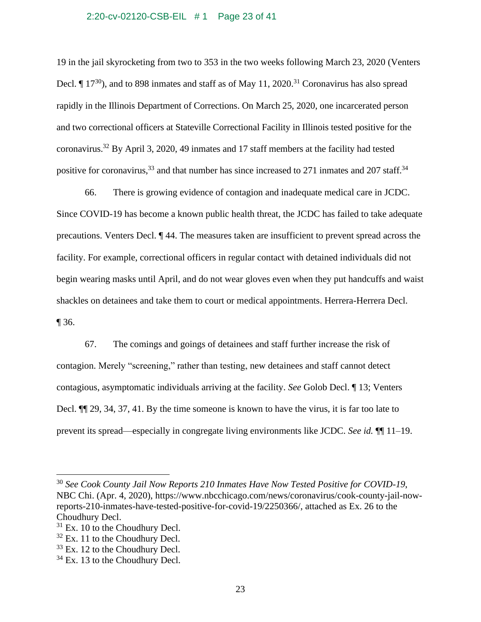#### 2:20-cv-02120-CSB-EIL # 1 Page 23 of 41

19 in the jail skyrocketing from two to 353 in the two weeks following March 23, 2020 (Venters Decl.  $\P$  17<sup>30</sup>), and to 898 inmates and staff as of May 11, 2020.<sup>31</sup> Coronavirus has also spread rapidly in the Illinois Department of Corrections. On March 25, 2020, one incarcerated person and two correctional officers at Stateville Correctional Facility in Illinois tested positive for the coronavirus. <sup>32</sup> By April 3, 2020, 49 inmates and 17 staff members at the facility had tested positive for coronavirus,<sup>33</sup> and that number has since increased to 271 inmates and 207 staff.<sup>34</sup>

66. There is growing evidence of contagion and inadequate medical care in JCDC. Since COVID-19 has become a known public health threat, the JCDC has failed to take adequate precautions. Venters Decl. ¶ 44. The measures taken are insufficient to prevent spread across the facility. For example, correctional officers in regular contact with detained individuals did not begin wearing masks until April, and do not wear gloves even when they put handcuffs and waist shackles on detainees and take them to court or medical appointments. Herrera-Herrera Decl. ¶ 36.

67. The comings and goings of detainees and staff further increase the risk of contagion. Merely "screening," rather than testing, new detainees and staff cannot detect contagious, asymptomatic individuals arriving at the facility. *See* Golob Decl. ¶ 13; Venters Decl. ¶¶ 29, 34, 37, 41. By the time someone is known to have the virus, it is far too late to prevent its spread—especially in congregate living environments like JCDC. *See id.* ¶¶ 11–19.

<sup>30</sup> *See Cook County Jail Now Reports 210 Inmates Have Now Tested Positive for COVID-19*, NBC Chi. (Apr. 4, 2020), [https://www.nbcchicago.com/news/coronavirus/cook-county-jail-now](https://www.nbcchicago.com/news/coronavirus/cook-county-jail-now-reports-210-inmates-have-tested-positive-for-covid-19/2250366/)[reports-210-inmates-have-tested-positive-for-covid-19/2250366/,](https://www.nbcchicago.com/news/coronavirus/cook-county-jail-now-reports-210-inmates-have-tested-positive-for-covid-19/2250366/) attached as Ex. 26 to the Choudhury Decl.

 $31$  Ex. 10 to the Choudhury Decl.

 $32$  Ex. 11 to the Choudhury Decl.

 $33$  Ex. 12 to the Choudhury Decl.

 $34$  Ex. 13 to the Choudhury Decl.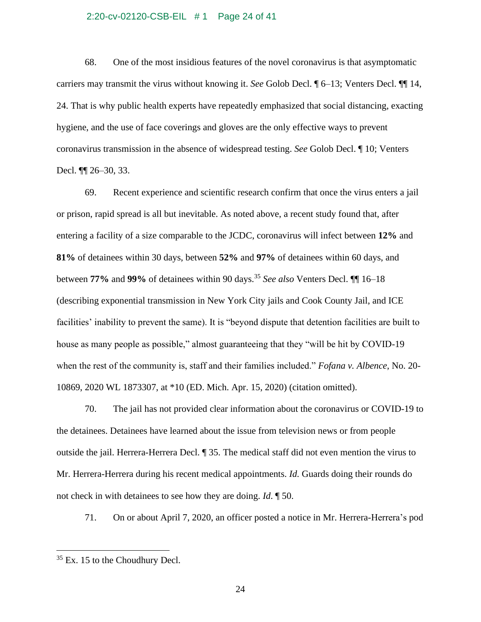## 2:20-cv-02120-CSB-EIL # 1 Page 24 of 41

68. One of the most insidious features of the novel coronavirus is that asymptomatic carriers may transmit the virus without knowing it. *See* Golob Decl. ¶ 6–13; Venters Decl. ¶¶ 14, 24. That is why public health experts have repeatedly emphasized that social distancing, exacting hygiene, and the use of face coverings and gloves are the only effective ways to prevent coronavirus transmission in the absence of widespread testing. *See* Golob Decl. ¶ 10; Venters Decl. ¶¶ 26–30, 33.

69. Recent experience and scientific research confirm that once the virus enters a jail or prison, rapid spread is all but inevitable. As noted above, a recent study found that, after entering a facility of a size comparable to the JCDC, coronavirus will infect between **12%** and **81%** of detainees within 30 days, between **52%** and **97%** of detainees within 60 days, and between **77%** and **99%** of detainees within 90 days.<sup>35</sup> *See also* Venters Decl. ¶¶ 16–18 (describing exponential transmission in New York City jails and Cook County Jail, and ICE facilities' inability to prevent the same). It is "beyond dispute that detention facilities are built to house as many people as possible," almost guaranteeing that they "will be hit by COVID-19 when the rest of the community is, staff and their families included." *Fofana v. Albence*, No. 20- 10869, 2020 WL 1873307, at \*10 (ED. Mich. Apr. 15, 2020) (citation omitted).

70. The jail has not provided clear information about the coronavirus or COVID-19 to the detainees. Detainees have learned about the issue from television news or from people outside the jail. Herrera-Herrera Decl. ¶ 35. The medical staff did not even mention the virus to Mr. Herrera-Herrera during his recent medical appointments. *Id.* Guards doing their rounds do not check in with detainees to see how they are doing. *Id*. ¶ 50.

71. On or about April 7, 2020, an officer posted a notice in Mr. Herrera-Herrera's pod

 $35$  Ex. 15 to the Choudhury Decl.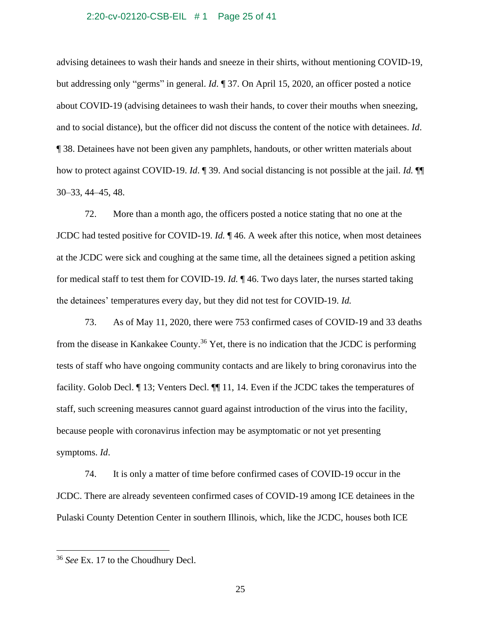#### 2:20-cv-02120-CSB-EIL # 1 Page 25 of 41

advising detainees to wash their hands and sneeze in their shirts, without mentioning COVID-19, but addressing only "germs" in general. *Id*. ¶ 37. On April 15, 2020, an officer posted a notice about COVID-19 (advising detainees to wash their hands, to cover their mouths when sneezing, and to social distance), but the officer did not discuss the content of the notice with detainees. *Id*. ¶ 38. Detainees have not been given any pamphlets, handouts, or other written materials about how to protect against COVID-19. *Id*. ¶ 39. And social distancing is not possible at the jail. *Id.* ¶¶ 30–33, 44–45, 48.

72. More than a month ago, the officers posted a notice stating that no one at the JCDC had tested positive for COVID-19. *Id.* ¶ 46. A week after this notice, when most detainees at the JCDC were sick and coughing at the same time, all the detainees signed a petition asking for medical staff to test them for COVID-19. *Id.* ¶ 46. Two days later, the nurses started taking the detainees' temperatures every day, but they did not test for COVID-19. *Id.*

73. As of May 11, 2020, there were 753 confirmed cases of COVID-19 and 33 deaths from the disease in Kankakee County.<sup>36</sup> Yet, there is no indication that the JCDC is performing tests of staff who have ongoing community contacts and are likely to bring coronavirus into the facility. Golob Decl. ¶ 13; Venters Decl. ¶¶ 11, 14. Even if the JCDC takes the temperatures of staff, such screening measures cannot guard against introduction of the virus into the facility, because people with coronavirus infection may be asymptomatic or not yet presenting symptoms. *Id*.

74. It is only a matter of time before confirmed cases of COVID-19 occur in the JCDC. There are already seventeen confirmed cases of COVID-19 among ICE detainees in the Pulaski County Detention Center in southern Illinois, which, like the JCDC, houses both ICE

<sup>36</sup> *See* Ex. 17 to the Choudhury Decl.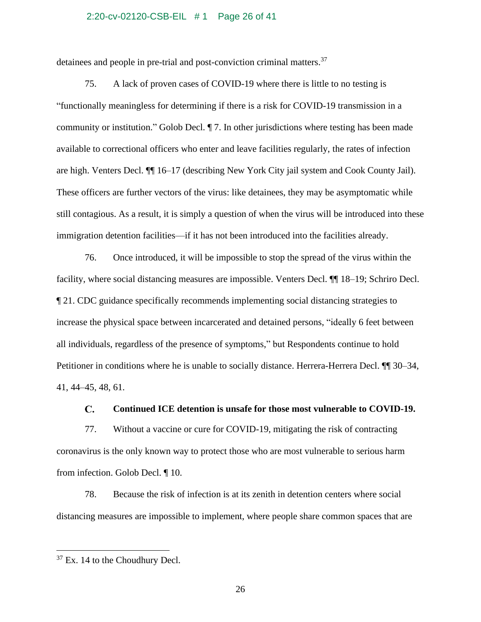## 2:20-cv-02120-CSB-EIL # 1 Page 26 of 41

detainees and people in pre-trial and post-conviction criminal matters.<sup>37</sup>

75. A lack of proven cases of COVID-19 where there is little to no testing is "functionally meaningless for determining if there is a risk for COVID-19 transmission in a community or institution." Golob Decl. ¶ 7. In other jurisdictions where testing has been made available to correctional officers who enter and leave facilities regularly, the rates of infection are high. Venters Decl. ¶¶ 16–17 (describing New York City jail system and Cook County Jail). These officers are further vectors of the virus: like detainees, they may be asymptomatic while still contagious. As a result, it is simply a question of when the virus will be introduced into these immigration detention facilities—if it has not been introduced into the facilities already.

76. Once introduced, it will be impossible to stop the spread of the virus within the facility, where social distancing measures are impossible. Venters Decl. ¶¶ 18–19; Schriro Decl. ¶ 21. CDC guidance specifically recommends implementing [social distancing](https://www.cdc.gov/coronavirus/2019-ncov/community/correction-detention/guidance-correctional-detention.html#social_distancing) strategies to increase the physical space between incarcerated and detained persons, "ideally 6 feet between all individuals, regardless of the presence of symptoms," but Respondents continue to hold Petitioner in conditions where he is unable to socially distance. Herrera-Herrera Decl. ¶¶ 30–34, 41, 44–45, 48, 61.

#### $\mathbf{C}$ . **Continued ICE detention is unsafe for those most vulnerable to COVID-19.**

77. Without a vaccine or cure for COVID-19, mitigating the risk of contracting coronavirus is the only known way to protect those who are most vulnerable to serious harm from infection. Golob Decl. ¶ 10.

78. Because the risk of infection is at its zenith in detention centers where social distancing measures are impossible to implement, where people share common spaces that are

<sup>&</sup>lt;sup>37</sup> Ex. 14 to the Choudhury Decl.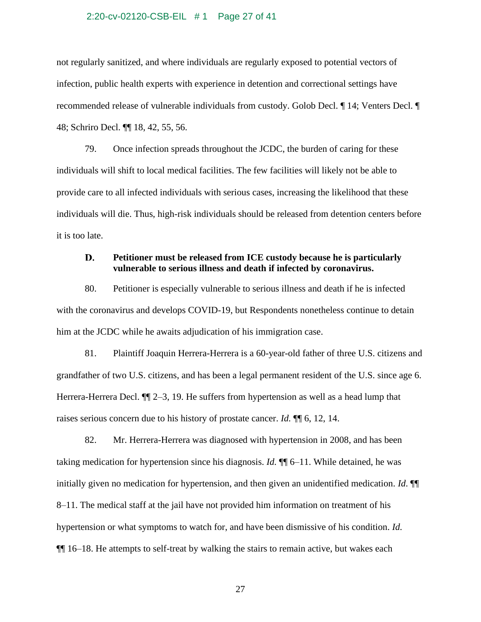#### 2:20-cv-02120-CSB-EIL # 1 Page 27 of 41

not regularly sanitized, and where individuals are regularly exposed to potential vectors of infection, public health experts with experience in detention and correctional settings have recommended release of vulnerable individuals from custody. Golob Decl. ¶ 14; Venters Decl. ¶ 48; Schriro Decl. ¶¶ 18, 42, 55, 56.

79. Once infection spreads throughout the JCDC, the burden of caring for these individuals will shift to local medical facilities. The few facilities will likely not be able to provide care to all infected individuals with serious cases, increasing the likelihood that these individuals will die. Thus, high-risk individuals should be released from detention centers before it is too late.

#### **Petitioner must be released from ICE custody because he is particularly**  D. **vulnerable to serious illness and death if infected by coronavirus.**

80. Petitioner is especially vulnerable to serious illness and death if he is infected with the coronavirus and develops COVID-19, but Respondents nonetheless continue to detain him at the JCDC while he awaits adjudication of his immigration case.

81. Plaintiff Joaquin Herrera-Herrera is a 60-year-old father of three U.S. citizens and grandfather of two U.S. citizens, and has been a legal permanent resident of the U.S. since age 6. Herrera-Herrera Decl.  $\P$  2–3, 19. He suffers from hypertension as well as a head lump that raises serious concern due to his history of prostate cancer. *Id.* ¶¶ 6, 12, 14.

82. Mr. Herrera-Herrera was diagnosed with hypertension in 2008, and has been taking medication for hypertension since his diagnosis. *Id.* ¶¶ 6–11. While detained, he was initially given no medication for hypertension, and then given an unidentified medication. *Id*. ¶¶ 8–11. The medical staff at the jail have not provided him information on treatment of his hypertension or what symptoms to watch for, and have been dismissive of his condition. *Id.*  ¶¶ 16–18. He attempts to self-treat by walking the stairs to remain active, but wakes each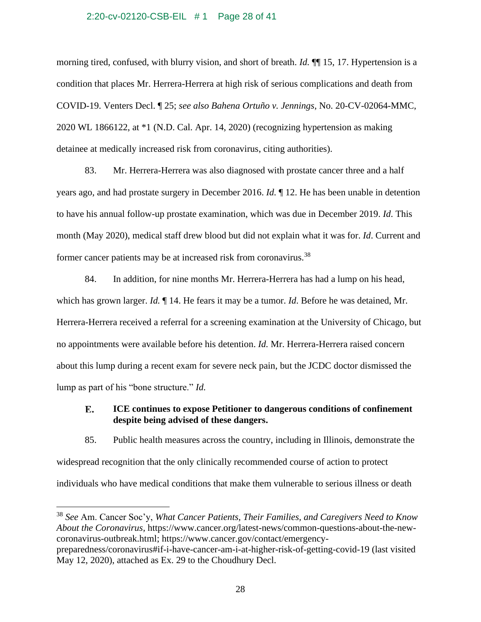#### 2:20-cv-02120-CSB-EIL # 1 Page 28 of 41

morning tired, confused, with blurry vision, and short of breath. *Id.* ¶¶ 15, 17. Hypertension is a condition that places Mr. Herrera-Herrera at high risk of serious complications and death from COVID-19. Venters Decl. ¶ 25; *see also Bahena Ortuño v. Jennings*, No. 20-CV-02064-MMC, 2020 WL 1866122, at \*1 (N.D. Cal. Apr. 14, 2020) (recognizing hypertension as making detainee at medically increased risk from coronavirus, citing authorities).

83. Mr. Herrera-Herrera was also diagnosed with prostate cancer three and a half years ago, and had prostate surgery in December 2016. *Id.* ¶ 12. He has been unable in detention to have his annual follow-up prostate examination, which was due in December 2019. *Id*. This month (May 2020), medical staff drew blood but did not explain what it was for. *Id*. Current and former cancer patients may be at increased risk from coronavirus.<sup>38</sup>

84. In addition, for nine months Mr. Herrera-Herrera has had a lump on his head, which has grown larger. *Id.* ¶ 14. He fears it may be a tumor. *Id*. Before he was detained, Mr. Herrera-Herrera received a referral for a screening examination at the University of Chicago, but no appointments were available before his detention. *Id.* Mr. Herrera-Herrera raised concern about this lump during a recent exam for severe neck pain, but the JCDC doctor dismissed the lump as part of his "bone structure." *Id.*

#### E. **ICE continues to expose Petitioner to dangerous conditions of confinement despite being advised of these dangers.**

85. Public health measures across the country, including in Illinois, demonstrate the widespread recognition that the only clinically recommended course of action to protect individuals who have medical conditions that make them vulnerable to serious illness or death

<sup>38</sup> *See* Am. Cancer Soc'y, *What Cancer Patients, Their Families, and Caregivers Need to Know About the Coronavirus,* [https://www.cancer.org/latest-news/common-questions-about-the-new](https://www.cancer.org/latest-news/common-questions-about-the-new-coronavirus-outbreak.html)[coronavirus-outbreak.html;](https://www.cancer.org/latest-news/common-questions-about-the-new-coronavirus-outbreak.html) [https://www.cancer.gov/contact/emergency-](https://www.cancer.gov/contact/emergency-preparedness/coronavirus#if-i-have-cancer-am-i-at-higher-risk-of-getting-covid-19)

[preparedness/coronavirus#if-i-have-cancer-am-i-at-higher-risk-of-getting-covid-19](https://www.cancer.gov/contact/emergency-preparedness/coronavirus#if-i-have-cancer-am-i-at-higher-risk-of-getting-covid-19) (last visited May 12, 2020), attached as Ex. 29 to the Choudhury Decl.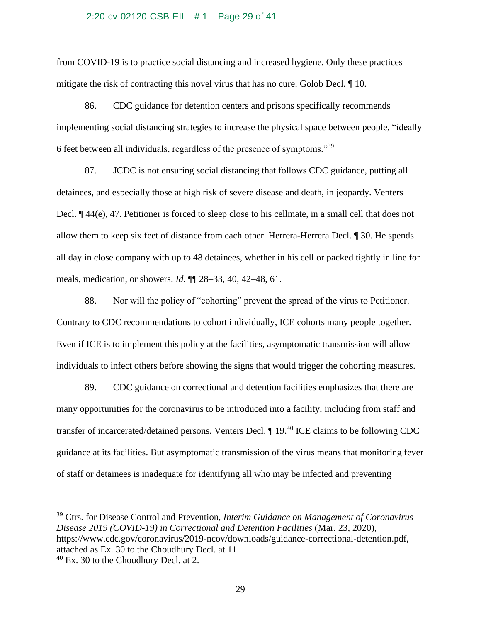#### 2:20-cv-02120-CSB-EIL # 1 Page 29 of 41

from COVID-19 is to practice social distancing and increased hygiene. Only these practices mitigate the risk of contracting this novel virus that has no cure. Golob Decl. ¶ 10.

86. CDC guidance for detention centers and prisons specifically recommends implementing [social distancing](https://www.cdc.gov/coronavirus/2019-ncov/community/correction-detention/guidance-correctional-detention.html#social_distancing) strategies to increase the physical space between people, "ideally 6 feet between all individuals, regardless of the presence of symptoms."<sup>39</sup>

87. JCDC is not ensuring social distancing that follows CDC guidance, putting all detainees, and especially those at high risk of severe disease and death, in jeopardy. Venters Decl. ¶ 44(e), 47. Petitioner is forced to sleep close to his cellmate, in a small cell that does not allow them to keep six feet of distance from each other. Herrera-Herrera Decl. ¶ 30. He spends all day in close company with up to 48 detainees, whether in his cell or packed tightly in line for meals, medication, or showers. *Id.* ¶¶ 28–33, 40, 42–48, 61.

88. Nor will the policy of "cohorting" prevent the spread of the virus to Petitioner. Contrary to CDC recommendations to cohort individually, ICE cohorts many people together. Even if ICE is to implement this policy at the facilities, asymptomatic transmission will allow individuals to infect others before showing the signs that would trigger the cohorting measures.

89. CDC guidance on correctional and detention facilities emphasizes that there are many opportunities for the coronavirus to be introduced into a facility, including from staff and transfer of incarcerated/detained persons. Venters Decl. ¶ 19. <sup>40</sup> ICE claims to be following CDC guidance at its facilities. But asymptomatic transmission of the virus means that monitoring fever of staff or detainees is inadequate for identifying all who may be infected and preventing

<sup>39</sup> Ctrs. for Disease Control and Prevention, *Interim Guidance on Management of Coronavirus Disease 2019 (COVID-19) in Correctional and Detention Facilities* (Mar. 23, 2020), [https://www.cdc.gov/coronavirus/2019-ncov/downloads/guidance-correctional-detention.pdf,](https://www.cdc.gov/coronavirus/2019-ncov/downloads/guidance-correctional-detention.pdf) attached as Ex. 30 to the Choudhury Decl. at 11.

 $40$  Ex. 30 to the Choudhury Decl. at 2.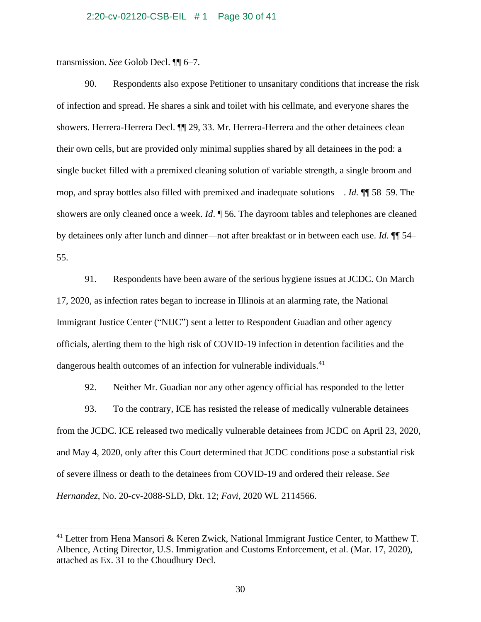transmission. *See* Golob Decl. ¶¶ 6–7.

90. Respondents also expose Petitioner to unsanitary conditions that increase the risk of infection and spread. He shares a sink and toilet with his cellmate, and everyone shares the showers. Herrera-Herrera Decl. ¶¶ 29, 33. Mr. Herrera-Herrera and the other detainees clean their own cells, but are provided only minimal supplies shared by all detainees in the pod: a single bucket filled with a premixed cleaning solution of variable strength, a single broom and mop, and spray bottles also filled with premixed and inadequate solutions—. *Id.* ¶¶ 58–59. The showers are only cleaned once a week. *Id*. ¶ 56. The dayroom tables and telephones are cleaned by detainees only after lunch and dinner—not after breakfast or in between each use. *Id*. ¶¶ 54– 55.

91. Respondents have been aware of the serious hygiene issues at JCDC. On March 17, 2020, as infection rates began to increase in Illinois at an alarming rate, the National Immigrant Justice Center ("NIJC") sent a letter to Respondent Guadian and other agency officials, alerting them to the high risk of COVID-19 infection in detention facilities and the dangerous health outcomes of an infection for vulnerable individuals.<sup>41</sup>

92. Neither Mr. Guadian nor any other agency official has responded to the letter

93. To the contrary, ICE has resisted the release of medically vulnerable detainees from the JCDC. ICE released two medically vulnerable detainees from JCDC on April 23, 2020, and May 4, 2020, only after this Court determined that JCDC conditions pose a substantial risk of severe illness or death to the detainees from COVID-19 and ordered their release. *See Hernandez*, No. 20-cv-2088-SLD, Dkt. 12; *Favi*, 2020 WL 2114566.

<sup>&</sup>lt;sup>41</sup> Letter from Hena Mansori & Keren Zwick, National Immigrant Justice Center, to Matthew T. Albence, Acting Director, U.S. Immigration and Customs Enforcement, et al. (Mar. 17, 2020), attached as Ex. 31 to the Choudhury Decl.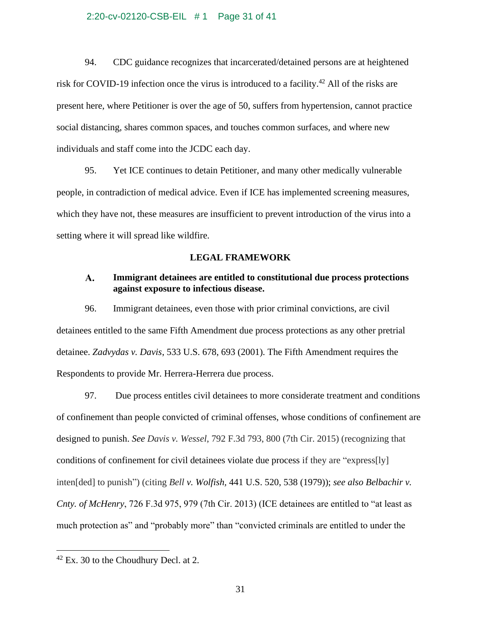#### 2:20-cv-02120-CSB-EIL # 1 Page 31 of 41

94. CDC guidance recognizes that incarcerated/detained persons are at heightened risk for COVID-19 infection once the virus is introduced to a facility.<sup>42</sup> All of the risks are present here, where Petitioner is over the age of 50, suffers from hypertension, cannot practice social distancing, shares common spaces, and touches common surfaces, and where new individuals and staff come into the JCDC each day.

95. Yet ICE continues to detain Petitioner, and many other medically vulnerable people, in contradiction of medical advice. Even if ICE has implemented screening measures, which they have not, these measures are insufficient to prevent introduction of the virus into a setting where it will spread like wildfire.

## **LEGAL FRAMEWORK**

#### **Immigrant detainees are entitled to constitutional due process protections**  A. **against exposure to infectious disease.**

96. Immigrant detainees, even those with prior criminal convictions, are civil detainees entitled to the same Fifth Amendment due process protections as any other pretrial detainee. *Zadvydas v. Davis*, 533 U.S. 678, 693 (2001). The Fifth Amendment requires the Respondents to provide Mr. Herrera-Herrera due process.

97. Due process entitles civil detainees to more considerate treatment and conditions of confinement than people convicted of criminal offenses, whose conditions of confinement are designed to punish. *See Davis v. Wessel*, 792 F.3d 793, 800 (7th Cir. 2015) (recognizing that conditions of confinement for civil detainees violate due process if they are "express[ly] inten[ded] to punish") (citing *Bell v. Wolfish,* 441 U.S. 520, 538 (1979)); *see also Belbachir v. Cnty. of McHenry*, 726 F.3d 975, 979 (7th Cir. 2013) (ICE detainees are entitled to "at least as much protection as" and "probably more" than "convicted criminals are entitled to under the

 $42$  Ex. 30 to the Choudhury Decl. at 2.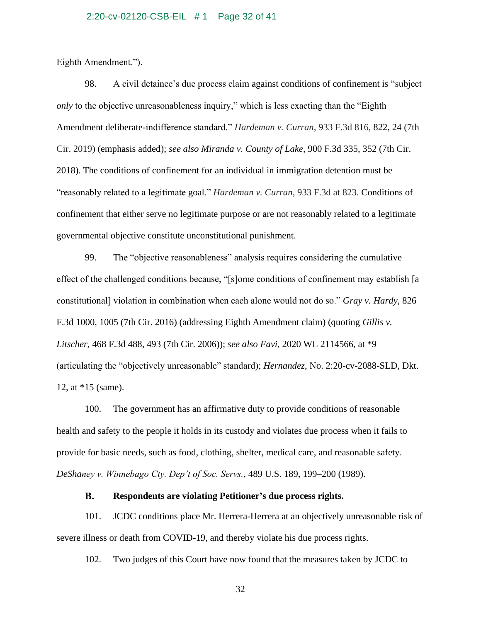#### 2:20-cv-02120-CSB-EIL # 1 Page 32 of 41

Eighth Amendment.").

98. A civil detainee's due process claim against conditions of confinement is "subject *only* to the objective unreasonableness inquiry," which is less exacting than the "Eighth" Amendment deliberate-indifference standard." *Hardeman v. Curran*, 933 F.3d 816, 822, 24 (7th Cir. 2019) (emphasis added); *see also Miranda v. County of Lake*, 900 F.3d 335, 352 (7th Cir. 2018). The conditions of confinement for an individual in immigration detention must be "reasonably related to a legitimate goal." *Hardeman v. Curran*, 933 F.3d at 823. Conditions of confinement that either serve no legitimate purpose or are not reasonably related to a legitimate governmental objective constitute unconstitutional punishment.

99. The "objective reasonableness" analysis requires considering the cumulative effect of the challenged conditions because, "[s]ome conditions of confinement may establish [a constitutional] violation in combination when each alone would not do so." *Gray v. Hardy*, 826 F.3d 1000, 1005 (7th Cir. 2016) (addressing Eighth Amendment claim) (quoting *Gillis v. Litscher*, 468 F.3d 488, 493 (7th Cir. 2006)); *see also Favi*, 2020 WL 2114566, at \*9 (articulating the "objectively unreasonable" standard); *Hernandez*, No. 2:20-cv-2088-SLD, Dkt. 12, at \*15 (same).

100. The government has an affirmative duty to provide conditions of reasonable health and safety to the people it holds in its custody and violates due process when it fails to provide for basic needs, such as food, clothing, shelter, medical care, and reasonable safety. *DeShaney v. Winnebago Cty. Dep't of Soc. Servs.*, 489 U.S. 189, 199–200 (1989).

#### **B. Respondents are violating Petitioner's due process rights.**

101. JCDC conditions place Mr. Herrera-Herrera at an objectively unreasonable risk of severe illness or death from COVID-19, and thereby violate his due process rights.

102. Two judges of this Court have now found that the measures taken by JCDC to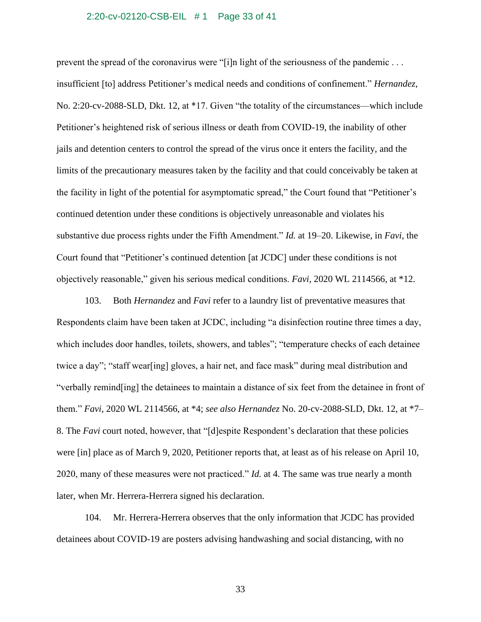## 2:20-cv-02120-CSB-EIL # 1 Page 33 of 41

prevent the spread of the coronavirus were "[i]n light of the seriousness of the pandemic . . . insufficient [to] address Petitioner's medical needs and conditions of confinement." *Hernandez*, No. 2:20-cv-2088-SLD, Dkt. 12, at \*17. Given "the totality of the circumstances—which include Petitioner's heightened risk of serious illness or death from COVID-19, the inability of other jails and detention centers to control the spread of the virus once it enters the facility, and the limits of the precautionary measures taken by the facility and that could conceivably be taken at the facility in light of the potential for asymptomatic spread," the Court found that "Petitioner's continued detention under these conditions is objectively unreasonable and violates his substantive due process rights under the Fifth Amendment." *Id.* at 19–20. Likewise, in *Favi*, the Court found that "Petitioner's continued detention [at JCDC] under these conditions is not objectively reasonable," given his serious medical conditions. *Favi*, 2020 WL 2114566, at \*12.

103. Both *Hernandez* and *Favi* refer to a laundry list of preventative measures that Respondents claim have been taken at JCDC, including "a disinfection routine three times a day, which includes door handles, toilets, showers, and tables"; "temperature checks of each detainee twice a day"; "staff wear[ing] gloves, a hair net, and face mask" during meal distribution and "verbally remind[ing] the detainees to maintain a distance of six feet from the detainee in front of them." *Favi*, 2020 WL 2114566, at \*4; *see also Hernandez* No. 20-cv-2088-SLD, Dkt. 12, at \*7– 8. The *Favi* court noted, however, that "[d]espite Respondent's declaration that these policies were [in] place as of March 9, 2020, Petitioner reports that, at least as of his release on April 10, 2020, many of these measures were not practiced." *Id.* at 4. The same was true nearly a month later, when Mr. Herrera-Herrera signed his declaration.

104. Mr. Herrera-Herrera observes that the only information that JCDC has provided detainees about COVID-19 are posters advising handwashing and social distancing, with no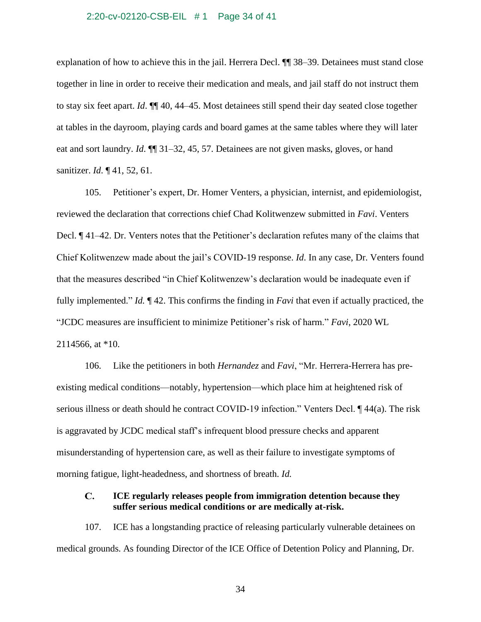#### 2:20-cv-02120-CSB-EIL # 1 Page 34 of 41

explanation of how to achieve this in the jail. Herrera Decl. ¶¶ 38–39. Detainees must stand close together in line in order to receive their medication and meals, and jail staff do not instruct them to stay six feet apart. *Id*. ¶¶ 40, 44–45. Most detainees still spend their day seated close together at tables in the dayroom, playing cards and board games at the same tables where they will later eat and sort laundry. *Id.*  $\P$  31–32, 45, 57. Detainees are not given masks, gloves, or hand sanitizer. *Id*. ¶ 41, 52, 61.

105. Petitioner's expert, Dr. Homer Venters, a physician, internist, and epidemiologist, reviewed the declaration that corrections chief Chad Kolitwenzew submitted in *Favi*. Venters Decl. ¶ 41–42. Dr. Venters notes that the Petitioner's declaration refutes many of the claims that Chief Kolitwenzew made about the jail's COVID-19 response. *Id*. In any case, Dr. Venters found that the measures described "in Chief Kolitwenzew's declaration would be inadequate even if fully implemented." *Id.* ¶ 42. This confirms the finding in *Favi* that even if actually practiced, the "JCDC measures are insufficient to minimize Petitioner's risk of harm." *Favi*, 2020 WL 2114566, at \*10.

106. Like the petitioners in both *Hernandez* and *Favi*, "Mr. Herrera-Herrera has preexisting medical conditions—notably, hypertension—which place him at heightened risk of serious illness or death should he contract COVID-19 infection." Venters Decl. ¶ 44(a). The risk is aggravated by JCDC medical staff's infrequent blood pressure checks and apparent misunderstanding of hypertension care, as well as their failure to investigate symptoms of morning fatigue, light-headedness, and shortness of breath. *Id.*

#### $\mathbf{C}$ . **ICE regularly releases people from immigration detention because they suffer serious medical conditions or are medically at-risk.**

107. ICE has a longstanding practice of releasing particularly vulnerable detainees on medical grounds. As founding Director of the ICE Office of Detention Policy and Planning, Dr.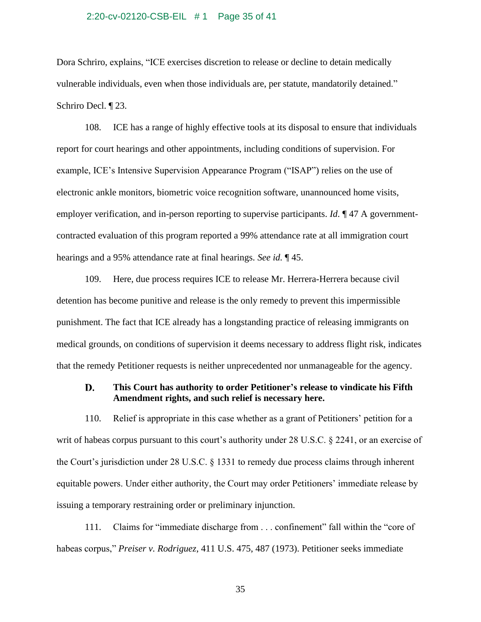#### 2:20-cv-02120-CSB-EIL # 1 Page 35 of 41

Dora Schriro, explains, "ICE exercises discretion to release or decline to detain medically vulnerable individuals, even when those individuals are, per statute, mandatorily detained." Schriro Decl. ¶ 23.

108. ICE has a range of highly effective tools at its disposal to ensure that individuals report for court hearings and other appointments, including conditions of supervision. For example, ICE's Intensive Supervision Appearance Program ("ISAP") relies on the use of electronic ankle monitors, biometric voice recognition software, unannounced home visits, employer verification, and in-person reporting to supervise participants. *Id*. ¶ 47 A governmentcontracted evaluation of this program reported a 99% attendance rate at all immigration court hearings and a 95% attendance rate at final hearings. *See id.* ¶ 45.

109. Here, due process requires ICE to release Mr. Herrera-Herrera because civil detention has become punitive and release is the only remedy to prevent this impermissible punishment. The fact that ICE already has a longstanding practice of releasing immigrants on medical grounds, on conditions of supervision it deems necessary to address flight risk, indicates that the remedy Petitioner requests is neither unprecedented nor unmanageable for the agency.

#### D. **This Court has authority to order Petitioner's release to vindicate his Fifth Amendment rights, and such relief is necessary here.**

110. Relief is appropriate in this case whether as a grant of Petitioners' petition for a writ of habeas corpus pursuant to this court's authority under 28 U.S.C. § 2241, or an exercise of the Court's jurisdiction under 28 U.S.C. § 1331 to remedy due process claims through inherent equitable powers. Under either authority, the Court may order Petitioners' immediate release by issuing a temporary restraining order or preliminary injunction.

111. Claims for "immediate discharge from . . . confinement" fall within the "core of habeas corpus," *Preiser v. Rodriguez*, 411 U.S. 475, 487 (1973). Petitioner seeks immediate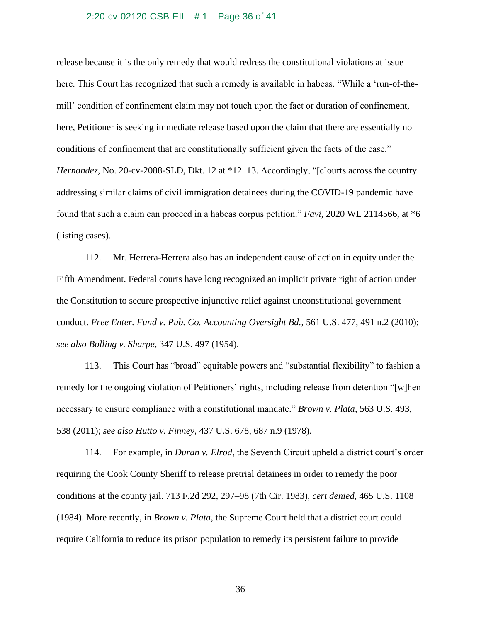#### 2:20-cv-02120-CSB-EIL # 1 Page 36 of 41

release because it is the only remedy that would redress the constitutional violations at issue here. This Court has recognized that such a remedy is available in habeas. "While a 'run-of-themill' condition of confinement claim may not touch upon the fact or duration of confinement, here, Petitioner is seeking immediate release based upon the claim that there are essentially no conditions of confinement that are constitutionally sufficient given the facts of the case." *Hernandez*, No. 20-cv-2088-SLD, Dkt. 12 at \*12–13. Accordingly, "[c]ourts across the country addressing similar claims of civil immigration detainees during the COVID-19 pandemic have found that such a claim can proceed in a habeas corpus petition." *Favi*, 2020 WL 2114566, at \*6 (listing cases).

112. Mr. Herrera-Herrera also has an independent cause of action in equity under the Fifth Amendment. Federal courts have long recognized an implicit private right of action under the Constitution to secure prospective injunctive relief against unconstitutional government conduct. *Free Enter. Fund v. Pub. Co. Accounting Oversight Bd.*, 561 U.S. 477, 491 n.2 (2010); *see also Bolling v. Sharpe*, 347 U.S. 497 (1954).

113. This Court has "broad" equitable powers and "substantial flexibility" to fashion a remedy for the ongoing violation of Petitioners' rights, including release from detention "[w]hen necessary to ensure compliance with a constitutional mandate." *Brown v. Plata*, 563 U.S. 493, 538 (2011); *see also Hutto v. Finney*, 437 U.S. 678, 687 n.9 (1978).

114. For example, in *Duran v. Elrod*, the Seventh Circuit upheld a district court's order requiring the Cook County Sheriff to release pretrial detainees in order to remedy the poor conditions at the county jail. 713 F.2d 292, 297–98 (7th Cir. 1983), *cert denied*, 465 U.S. 1108 (1984). More recently, in *Brown v. Plata*, the Supreme Court held that a district court could require California to reduce its prison population to remedy its persistent failure to provide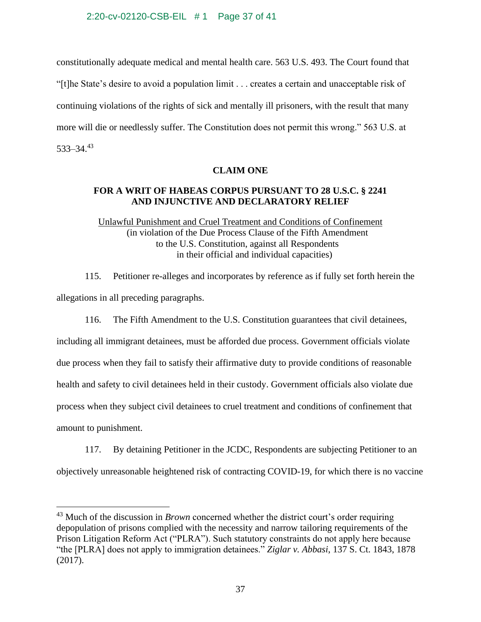constitutionally adequate medical and mental health care. 563 U.S. 493. The Court found that "[t]he State's desire to avoid a population limit . . . creates a certain and unacceptable risk of continuing violations of the rights of sick and mentally ill prisoners, with the result that many more will die or needlessly suffer. The Constitution does not permit this wrong." 563 U.S. at 533–34.<sup>43</sup>

## **CLAIM ONE**

# **FOR A WRIT OF HABEAS CORPUS PURSUANT TO 28 U.S.C. § 2241 AND INJUNCTIVE AND DECLARATORY RELIEF**

Unlawful Punishment and Cruel Treatment and Conditions of Confinement (in violation of the Due Process Clause of the Fifth Amendment to the U.S. Constitution, against all Respondents in their official and individual capacities)

115. Petitioner re-alleges and incorporates by reference as if fully set forth herein the allegations in all preceding paragraphs.

116. The Fifth Amendment to the U.S. Constitution guarantees that civil detainees,

including all immigrant detainees, must be afforded due process. Government officials violate due process when they fail to satisfy their affirmative duty to provide conditions of reasonable health and safety to civil detainees held in their custody. Government officials also violate due process when they subject civil detainees to cruel treatment and conditions of confinement that amount to punishment.

117. By detaining Petitioner in the JCDC, Respondents are subjecting Petitioner to an objectively unreasonable heightened risk of contracting COVID-19, for which there is no vaccine

<sup>43</sup> Much of the discussion in *Brown* concerned whether the district court's order requiring depopulation of prisons complied with the necessity and narrow tailoring requirements of the Prison Litigation Reform Act ("PLRA"). Such statutory constraints do not apply here because "the [PLRA] does not apply to immigration detainees." *Ziglar v. Abbasi*, 137 S. Ct. 1843, 1878 (2017).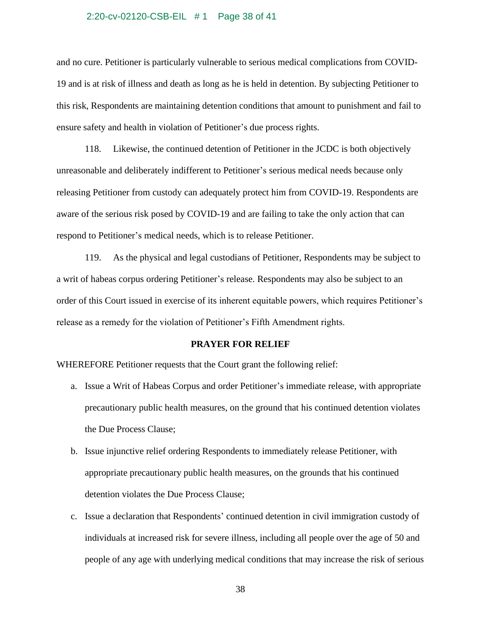#### 2:20-cv-02120-CSB-EIL # 1 Page 38 of 41

and no cure. Petitioner is particularly vulnerable to serious medical complications from COVID-19 and is at risk of illness and death as long as he is held in detention. By subjecting Petitioner to this risk, Respondents are maintaining detention conditions that amount to punishment and fail to ensure safety and health in violation of Petitioner's due process rights.

118. Likewise, the continued detention of Petitioner in the JCDC is both objectively unreasonable and deliberately indifferent to Petitioner's serious medical needs because only releasing Petitioner from custody can adequately protect him from COVID-19. Respondents are aware of the serious risk posed by COVID-19 and are failing to take the only action that can respond to Petitioner's medical needs, which is to release Petitioner.

119. As the physical and legal custodians of Petitioner, Respondents may be subject to a writ of habeas corpus ordering Petitioner's release. Respondents may also be subject to an order of this Court issued in exercise of its inherent equitable powers, which requires Petitioner's release as a remedy for the violation of Petitioner's Fifth Amendment rights.

## **PRAYER FOR RELIEF**

WHEREFORE Petitioner requests that the Court grant the following relief:

- a. Issue a Writ of Habeas Corpus and order Petitioner's immediate release, with appropriate precautionary public health measures, on the ground that his continued detention violates the Due Process Clause;
- b. Issue injunctive relief ordering Respondents to immediately release Petitioner, with appropriate precautionary public health measures, on the grounds that his continued detention violates the Due Process Clause;
- c. Issue a declaration that Respondents' continued detention in civil immigration custody of individuals at increased risk for severe illness, including all people over the age of 50 and people of any age with underlying medical conditions that may increase the risk of serious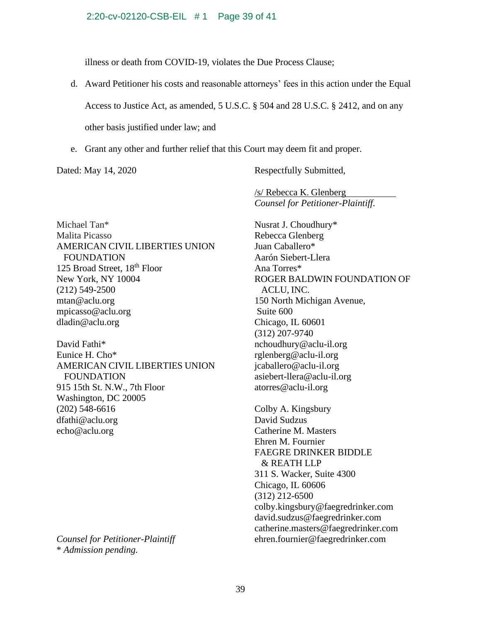illness or death from COVID-19, violates the Due Process Clause;

d. Award Petitioner his costs and reasonable attorneys' fees in this action under the Equal

Access to Justice Act, as amended, 5 U.S.C. § 504 and 28 U.S.C. § 2412, and on any

other basis justified under law; and

e. Grant any other and further relief that this Court may deem fit and proper.

Dated: May 14, 2020 Respectfully Submitted,

/s/ Rebecca K. Glenberg *Counsel for Petitioner-Plaintiff.*

Michael Tan\* Malita Picasso AMERICAN CIVIL LIBERTIES UNION FOUNDATION 125 Broad Street, 18<sup>th</sup> Floor New York, NY 10004 (212) 549-2500 mtan@aclu.org [mpicasso@aclu.org](mailto:mpicasso@aclu.org) [dladin@aclu.org](mailto:dladin@aclu.org) David Fathi\*

Eunice H. Cho\* AMERICAN CIVIL LIBERTIES UNION FOUNDATION 915 15th St. N.W., 7th Floor Washington, DC 20005 (202) 548-6616 [dfathi@aclu.org](mailto:dfathi@aclu.org) [echo@aclu.org](mailto:echo@aclu.org)

*Counsel for Petitioner-Plaintiff* \* *Admission pending.*

Nusrat J. Choudhury\* Rebecca Glenberg Juan Caballero\* Aarón Siebert-Llera Ana Torres\* ROGER BALDWIN FOUNDATION OF ACLU, INC. 150 North Michigan Avenue, Suite 600 Chicago, IL 60601 (312) 207-9740 nchoudhury@aclu-il.org rglenberg@aclu-il.org [jcaballero@aclu-il.org](mailto:jcaballero@aclu-il.org) [asiebert-llera@aclu-il.org](mailto:asiebert-llera@aclu-il.org) atorres@aclu-il.org Colby A. Kingsbury David Sudzus Catherine M. Masters Ehren M. Fournier FAEGRE DRINKER BIDDLE & REATH LLP 311 S. Wacker, Suite 4300 Chicago, IL 60606 (312) 212-6500 [colby.kingsbury@faegredrinker.com](mailto:Colby.Kingsbury@faegredrinker.com) [david.sudzus@faegredrinker.com](mailto:david.sudzus@faegredrinker.com) catherine.masters@faegredrinker.com ehren.fournier@faegredrinker.com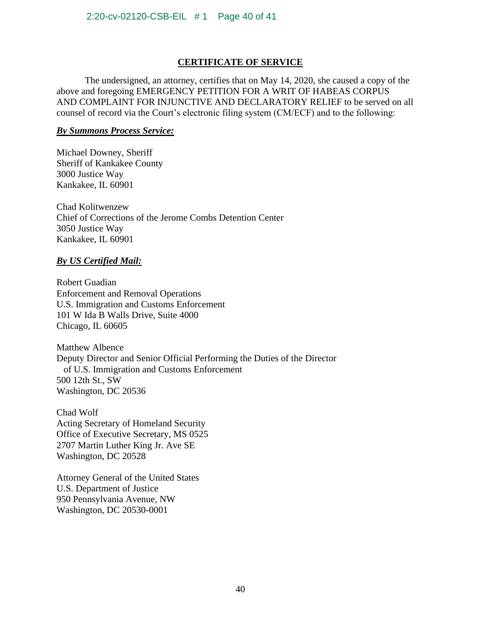# **CERTIFICATE OF SERVICE**

The undersigned, an attorney, certifies that on May 14, 2020, she caused a copy of the above and foregoing EMERGENCY PETITION FOR A WRIT OF HABEAS CORPUS AND COMPLAINT FOR INJUNCTIVE AND DECLARATORY RELIEF to be served on all counsel of record via the Court's electronic filing system (CM/ECF) and to the following:

## *By Summons Process Service:*

Michael Downey, Sheriff Sheriff of Kankakee County 3000 Justice Way Kankakee, IL 60901

Chad Kolitwenzew Chief of Corrections of the Jerome Combs Detention Center 3050 Justice Way Kankakee, IL 60901

## *By US Certified Mail:*

Robert Guadian Enforcement and Removal Operations U.S. Immigration and Customs Enforcement 101 W Ida B Walls Drive, Suite 4000 Chicago, IL 60605

Matthew Albence Deputy Director and Senior Official Performing the Duties of the Director of U.S. Immigration and Customs Enforcement 500 12th St., SW Washington, DC 20536

Chad Wolf Acting Secretary of Homeland Security Office of Executive Secretary, MS 0525 2707 Martin Luther King Jr. Ave SE Washington, DC 20528

Attorney General of the United States U.S. Department of Justice 950 Pennsylvania Avenue, NW Washington, DC 20530-0001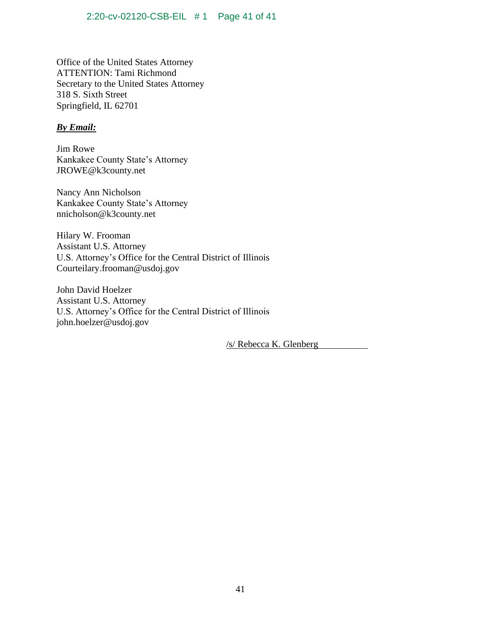Office of the United States Attorney ATTENTION: Tami Richmond Secretary to the United States Attorney 318 S. Sixth Street Springfield, IL 62701

## *By Email:*

Jim Rowe Kankakee County State's Attorney JROWE@k3county.net

Nancy Ann Nicholson Kankakee County State's Attorney [nnicholson@k3county.net](mailto:nnicholson@k3county.net)

Hilary W. Frooman Assistant U.S. Attorney U.S. Attorney's Office for the Central District of Illinois [Courteilary.frooman@usdoj.gov](mailto:Courteilary.frooman@usdoj.gov)

John David Hoelzer Assistant U.S. Attorney U.S. Attorney's Office for the Central District of Illinois john.hoelzer@usdoj.gov

/s/ Rebecca K. Glenberg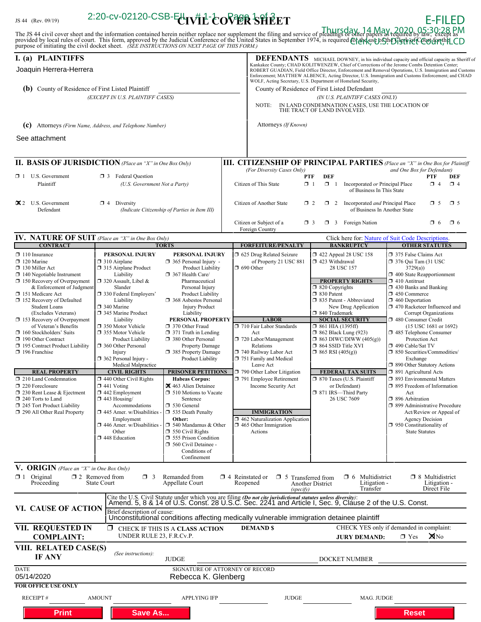## $\sigma_{\rm{MS\,44\,\,(Rev.\,09/19)}}$  2:20-cv-02120-CSB- $\rm{E}_{\rm{UVIL}}^{\rm{H1-}}$ COVER SHEET  $\overline{a}$

The JS 44 civil cover sheet and the information contained herein neither replace nor supplement the filing and service of pleadings or other papers as required by law, except as<br>provided by local rules of court. This form, Thursday, 14 May, 2020 05:30:28 PM <u>l Clerk, en Strollstrict Courtonthil CD</u>

E-FILED

| I. (a) PLAINTIFFS<br>Joaquin Herrera-Herrera<br>(b) County of Residence of First Listed Plaintiff<br>(EXCEPT IN U.S. PLAINTIFF CASES) |                                                                                    |                                                        |  | DEFENDANTS MICHAEL DOWNEY, in his individual capacity and official capacity as Sheriff of                                                                                                                                                                                                                     |                                                                  |                                                                |                                                                                                                   |  |
|---------------------------------------------------------------------------------------------------------------------------------------|------------------------------------------------------------------------------------|--------------------------------------------------------|--|---------------------------------------------------------------------------------------------------------------------------------------------------------------------------------------------------------------------------------------------------------------------------------------------------------------|------------------------------------------------------------------|----------------------------------------------------------------|-------------------------------------------------------------------------------------------------------------------|--|
|                                                                                                                                       |                                                                                    |                                                        |  | Kankakee County; CHAD KOLITWENZEW, Chief of Corrections of the Jerome Combs Detention Center;<br>ROBERT GUADIAN, Field Office Director, Enforcement and Removal Operations, U.S. Immigration and Customs<br>Enforcement; MATTHEW ALBENCE, Acting Director, U.S. Immigration and Customs Enforcement; and CHAD |                                                                  |                                                                |                                                                                                                   |  |
|                                                                                                                                       |                                                                                    |                                                        |  | WOLF, Acting Secretary, U.S. Department of Homeland Security,                                                                                                                                                                                                                                                 |                                                                  |                                                                |                                                                                                                   |  |
|                                                                                                                                       |                                                                                    |                                                        |  | County of Residence of First Listed Defendant<br>(IN U.S. PLAINTIFF CASES ONLY)<br>NOTE:<br>IN LAND CONDEMNATION CASES, USE THE LOCATION OF                                                                                                                                                                   |                                                                  |                                                                |                                                                                                                   |  |
|                                                                                                                                       |                                                                                    |                                                        |  |                                                                                                                                                                                                                                                                                                               |                                                                  |                                                                |                                                                                                                   |  |
| (c) Attorneys (Firm Name, Address, and Telephone Number)                                                                              |                                                                                    |                                                        |  | Attorneys (If Known)                                                                                                                                                                                                                                                                                          |                                                                  |                                                                |                                                                                                                   |  |
| See attachment                                                                                                                        |                                                                                    |                                                        |  |                                                                                                                                                                                                                                                                                                               |                                                                  |                                                                |                                                                                                                   |  |
|                                                                                                                                       |                                                                                    |                                                        |  |                                                                                                                                                                                                                                                                                                               |                                                                  |                                                                |                                                                                                                   |  |
| <b>II. BASIS OF JURISDICTION</b> (Place an "X" in One Box Only)                                                                       |                                                                                    |                                                        |  | (For Diversity Cases Only)                                                                                                                                                                                                                                                                                    |                                                                  |                                                                | <b>III. CITIZENSHIP OF PRINCIPAL PARTIES</b> (Place an "X" in One Box for Plaintiff<br>and One Box for Defendant) |  |
| $\Box$ 1 U.S. Government<br>Plaintiff                                                                                                 | <b>3</b> Federal Question<br>(U.S. Government Not a Party)                         |                                                        |  | DEF<br>PTF<br><b>PTF</b><br>DEF<br>Citizen of This State<br>$\mathbf{X}$ 1<br>$\Box$ 1 Incorporated or Principal Place<br>$\Box$ 4<br>$\Box$ 4<br>of Business In This State                                                                                                                                   |                                                                  |                                                                |                                                                                                                   |  |
| $\mathbf{\times}$ 2 U.S. Government<br>Defendant                                                                                      | $\Box$ 4 Diversity<br>(Indicate Citizenship of Parties in Item III)                |                                                        |  | 2 Incorporated and Principal Place<br>Citizen of Another State<br>$\Box$ 2<br>$\Box$ 5<br>$\square$ 5<br>of Business In Another State                                                                                                                                                                         |                                                                  |                                                                |                                                                                                                   |  |
|                                                                                                                                       |                                                                                    |                                                        |  | Citizen or Subject of a<br>Foreign Country                                                                                                                                                                                                                                                                    | $\Box$ 3                                                         | $\Box$ 3 Foreign Nation                                        | □ 6<br>$\Box$ 6                                                                                                   |  |
| IV. NATURE OF SUIT (Place an "X" in One Box Only)<br><b>CONTRACT</b>                                                                  |                                                                                    | <b>TORTS</b>                                           |  |                                                                                                                                                                                                                                                                                                               |                                                                  | <b>BANKRUPTCY</b>                                              | Click here for: Nature of Suit Code Descriptions.<br><b>OTHER STATUTES</b>                                        |  |
| $\Box$ 110 Insurance                                                                                                                  | PERSONAL INJURY                                                                    | PERSONAL INJURY                                        |  | <b>FORFEITURE/PENALTY</b><br>5 625 Drug Related Seizure                                                                                                                                                                                                                                                       |                                                                  |                                                                | 375 False Claims Act                                                                                              |  |
| $\Box$ 120 Marine<br>$\Box$ 130 Miller Act                                                                                            | $\Box$ 310 Airplane<br>315 Airplane Product                                        | 365 Personal Injury -<br>Product Liability             |  | of Property 21 USC 881<br>$\Box$ 690 Other                                                                                                                                                                                                                                                                    | 158 122 Appeal 28 USC 158<br>$\Box$ 423 Withdrawal<br>28 USC 157 |                                                                | $\Box$ 376 Qui Tam (31 USC)<br>3729(a)                                                                            |  |
| $\Box$ 140 Negotiable Instrument<br>$\Box$ 150 Recovery of Overpayment                                                                | Liability<br>$\Box$ 320 Assault, Libel &                                           | 367 Health Care/<br>Pharmaceutical                     |  |                                                                                                                                                                                                                                                                                                               |                                                                  | <b>PROPERTY RIGHTS</b>                                         | $\Box$ 400 State Reapportionment<br>$\Box$ 410 Antitrust                                                          |  |
| & Enforcement of Judgment                                                                                                             | Slander                                                                            | Personal Injury                                        |  |                                                                                                                                                                                                                                                                                                               | $\Box$ 820 Copyrights                                            |                                                                | $\Box$ 430 Banks and Banking                                                                                      |  |
| 151 Medicare Act<br>□ 152 Recovery of Defaulted                                                                                       | □ 330 Federal Employers'<br>Liability                                              | Product Liability<br>□ 368 Asbestos Personal           |  |                                                                                                                                                                                                                                                                                                               | $\Box$ 830 Patent                                                | □ 835 Patent - Abbreviated                                     | $\Box$ 450 Commerce<br>$\Box$ 460 Deportation                                                                     |  |
| <b>Student Loans</b>                                                                                                                  | $\Box$ 340 Marine                                                                  | <b>Injury Product</b>                                  |  |                                                                                                                                                                                                                                                                                                               |                                                                  | New Drug Application                                           | □ 470 Racketeer Influenced and                                                                                    |  |
| (Excludes Veterans)<br>$\Box$ 153 Recovery of Overpayment                                                                             | 345 Marine Product<br>Liability                                                    | Liability<br>PERSONAL PROPERTY                         |  | <b>LABOR</b>                                                                                                                                                                                                                                                                                                  | □ 840 Trademark                                                  | <b>SOCIAL SECURITY</b>                                         | Corrupt Organizations<br>480 Consumer Credit                                                                      |  |
| of Veteran's Benefits                                                                                                                 | □ 350 Motor Vehicle                                                                | 370 Other Fraud                                        |  | 710 Fair Labor Standards                                                                                                                                                                                                                                                                                      | $\Box$ 861 HIA (1395ff)                                          |                                                                | (15 USC 1681 or 1692)                                                                                             |  |
| 160 Stockholders' Suits<br>190 Other Contract                                                                                         | 355 Motor Vehicle<br><b>Product Liability</b>                                      | $\Box$ 371 Truth in Lending<br>380 Other Personal      |  | Act<br>720 Labor/Management                                                                                                                                                                                                                                                                                   |                                                                  | <b>1</b> 862 Black Lung (923)<br>$\Box$ 863 DIWC/DIWW (405(g)) | □ 485 Telephone Consumer<br>Protection Act                                                                        |  |
| 195 Contract Product Liability                                                                                                        | 360 Other Personal                                                                 | <b>Property Damage</b>                                 |  | Relations                                                                                                                                                                                                                                                                                                     | $\Box$ 864 SSID Title XVI                                        |                                                                | □ 490 Cable/Sat TV                                                                                                |  |
| $\Box$ 196 Franchise                                                                                                                  | Injury<br>$\Box$ 362 Personal Injury -                                             | 385 Property Damage<br>Product Liability               |  | 740 Railway Labor Act<br>751 Family and Medical                                                                                                                                                                                                                                                               | $\Box$ 865 RSI (405(g))                                          |                                                                | □ 850 Securities/Commodities/                                                                                     |  |
|                                                                                                                                       | Medical Malpractice                                                                |                                                        |  | Leave Act                                                                                                                                                                                                                                                                                                     |                                                                  |                                                                | Exchange<br>□ 890 Other Statutory Actions                                                                         |  |
| <b>REAL PROPERTY</b>                                                                                                                  | <b>CIVIL RIGHTS</b>                                                                | PRISONER PETITIONS                                     |  | 790 Other Labor Litigation                                                                                                                                                                                                                                                                                    |                                                                  | <b>FEDERAL TAX SUITS</b>                                       | □ 891 Agricultural Acts                                                                                           |  |
| 210 Land Condemnation<br>220 Foreclosure                                                                                              | $\Box$ 440 Other Civil Rights<br>$\Box$ 441 Voting                                 | <b>Habeas Corpus:</b><br>X 463 Alien Detainee          |  | 791 Employee Retirement<br>Income Security Act                                                                                                                                                                                                                                                                |                                                                  | □ 870 Taxes (U.S. Plaintiff<br>or Defendant)                   | □ 893 Environmental Matters<br>□ 895 Freedom of Information                                                       |  |
| □ 230 Rent Lease & Ejectment                                                                                                          | $\Box$ 442 Employment                                                              | □ 510 Motions to Vacate                                |  |                                                                                                                                                                                                                                                                                                               |                                                                  | □ 871 IRS-Third Party                                          | Act                                                                                                               |  |
| □ 240 Torts to Land<br>245 Tort Product Liability                                                                                     | $\Box$ 443 Housing<br>Accommodations                                               | Sentence<br>□ 530 General                              |  |                                                                                                                                                                                                                                                                                                               |                                                                  | 26 USC 7609                                                    | □ 896 Arbitration<br>□ 899 Administrative Procedure                                                               |  |
| 290 All Other Real Property                                                                                                           | $\Box$ 445 Amer. w/Disabilities - $\Box$ 535 Death Penalty<br>Employment<br>Other: |                                                        |  | <b>IMMIGRATION</b>                                                                                                                                                                                                                                                                                            |                                                                  |                                                                | Act/Review or Appeal of<br><b>Agency Decision</b>                                                                 |  |
|                                                                                                                                       |                                                                                    |                                                        |  | 1 462 Naturalization Application                                                                                                                                                                                                                                                                              |                                                                  |                                                                |                                                                                                                   |  |
|                                                                                                                                       | $\Box$ 446 Amer. w/Disabilities -<br>Other                                         | $\Box$ 540 Mandamus & Other<br>$\Box$ 550 Civil Rights |  | $\Box$ 465 Other Immigration<br>Actions                                                                                                                                                                                                                                                                       |                                                                  |                                                                | $\Box$ 950 Constitutionality of<br><b>State Statutes</b>                                                          |  |
|                                                                                                                                       | 448 Education                                                                      | 555 Prison Condition                                   |  |                                                                                                                                                                                                                                                                                                               |                                                                  |                                                                |                                                                                                                   |  |
|                                                                                                                                       |                                                                                    | 560 Civil Detainee -<br>Conditions of                  |  |                                                                                                                                                                                                                                                                                                               |                                                                  |                                                                |                                                                                                                   |  |
|                                                                                                                                       |                                                                                    | Confinement                                            |  |                                                                                                                                                                                                                                                                                                               |                                                                  |                                                                |                                                                                                                   |  |
| V. ORIGIN (Place an "X" in One Box Only)                                                                                              |                                                                                    |                                                        |  |                                                                                                                                                                                                                                                                                                               |                                                                  |                                                                |                                                                                                                   |  |
| $\blacksquare$ 1 Original<br>Proceeding                                                                                               | $\Box$ 2 Removed from<br>$\Box$ 3<br><b>State Court</b>                            | Remanded from<br>Appellate Court                       |  | $\Box$ 4 Reinstated or $\Box$ 5 Transferred from<br>Reopened<br>(specify)                                                                                                                                                                                                                                     | Another District                                                 | $\Box$ 6 Multidistrict<br>Litigation -<br>Transfer             | $\Box$ 8 Multidistrict<br>Litigation -<br>Direct File                                                             |  |
|                                                                                                                                       |                                                                                    |                                                        |  | Cite the U.S. Civil Statute under which you are filing (Do not cite jurisdictional statutes unless diversity):<br>Amend. 5, 8 & 14 of U.S. Const. 28 U.S.C. Sec. 2241 and Article I, Sec. 9, Clause 2 of the U.S. Const.                                                                                      |                                                                  |                                                                |                                                                                                                   |  |
| VI. CAUSE OF ACTION                                                                                                                   | Brief description of cause:                                                        |                                                        |  | Unconstitutional conditions affecting medically vulnerable immigration detainee plaintiff                                                                                                                                                                                                                     |                                                                  |                                                                |                                                                                                                   |  |
| <b>VII. REQUESTED IN</b>                                                                                                              | $\Box$                                                                             | CHECK IF THIS IS A CLASS ACTION                        |  | <b>DEMAND \$</b>                                                                                                                                                                                                                                                                                              |                                                                  |                                                                | CHECK YES only if demanded in complaint:                                                                          |  |
| <b>COMPLAINT:</b>                                                                                                                     | UNDER RULE 23, F.R.Cv.P.                                                           |                                                        |  |                                                                                                                                                                                                                                                                                                               |                                                                  | <b>JURY DEMAND:</b>                                            | $M_{\text{No}}$<br>$\Box$ Yes                                                                                     |  |
| VIII. RELATED CASE(S)                                                                                                                 | (See instructions):                                                                |                                                        |  |                                                                                                                                                                                                                                                                                                               |                                                                  |                                                                |                                                                                                                   |  |
| IF ANY                                                                                                                                |                                                                                    | <b>JUDGE</b>                                           |  |                                                                                                                                                                                                                                                                                                               |                                                                  | DOCKET NUMBER                                                  |                                                                                                                   |  |
| DATE                                                                                                                                  |                                                                                    | SIGNATURE OF ATTORNEY OF RECORD                        |  |                                                                                                                                                                                                                                                                                                               |                                                                  |                                                                |                                                                                                                   |  |
| 05/14/2020<br><b>FOR OFFICE USE ONLY</b>                                                                                              |                                                                                    | Rebecca K. Glenberg                                    |  |                                                                                                                                                                                                                                                                                                               |                                                                  |                                                                |                                                                                                                   |  |
|                                                                                                                                       |                                                                                    |                                                        |  |                                                                                                                                                                                                                                                                                                               |                                                                  |                                                                |                                                                                                                   |  |
| <b>RECEIPT#</b>                                                                                                                       | <b>AMOUNT</b>                                                                      | <b>APPLYING IFP</b>                                    |  | <b>JUDGE</b>                                                                                                                                                                                                                                                                                                  |                                                                  | MAG. JUDGE                                                     |                                                                                                                   |  |
| <b>Print</b>                                                                                                                          | <b>Save As</b>                                                                     |                                                        |  |                                                                                                                                                                                                                                                                                                               |                                                                  |                                                                | <b>Reset</b>                                                                                                      |  |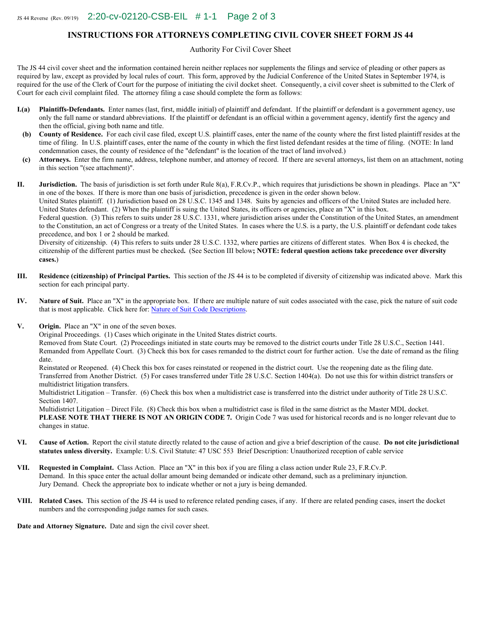## **INSTRUCTIONS FOR ATTORNEYS COMPLETING CIVIL COVER SHEET FORM JS 44**

#### Authority For Civil Cover Sheet

The JS 44 civil cover sheet and the information contained herein neither replaces nor supplements the filings and service of pleading or other papers as required by law, except as provided by local rules of court. This form, approved by the Judicial Conference of the United States in September 1974, is required for the use of the Clerk of Court for the purpose of initiating the civil docket sheet. Consequently, a civil cover sheet is submitted to the Clerk of Court for each civil complaint filed. The attorney filing a case should complete the form as follows:

- **I.(a) Plaintiffs-Defendants.** Enter names (last, first, middle initial) of plaintiff and defendant. If the plaintiff or defendant is a government agency, use only the full name or standard abbreviations. If the plaintiff or defendant is an official within a government agency, identify first the agency and then the official, giving both name and title.
- **(b) County of Residence.** For each civil case filed, except U.S. plaintiff cases, enter the name of the county where the first listed plaintiff resides at the time of filing. In U.S. plaintiff cases, enter the name of the county in which the first listed defendant resides at the time of filing. (NOTE: In land condemnation cases, the county of residence of the "defendant" is the location of the tract of land involved.)
- **(c) Attorneys.** Enter the firm name, address, telephone number, and attorney of record. If there are several attorneys, list them on an attachment, noting in this section "(see attachment)".

**II. Jurisdiction.** The basis of jurisdiction is set forth under Rule 8(a), F.R.Cv.P., which requires that jurisdictions be shown in pleadings. Place an "X" in one of the boxes. If there is more than one basis of jurisdiction, precedence is given in the order shown below.

United States plaintiff. (1) Jurisdiction based on 28 U.S.C. 1345 and 1348. Suits by agencies and officers of the United States are included here. United States defendant. (2) When the plaintiff is suing the United States, its officers or agencies, place an "X" in this box.

Federal question. (3) This refers to suits under 28 U.S.C. 1331, where jurisdiction arises under the Constitution of the United States, an amendment to the Constitution, an act of Congress or a treaty of the United States. In cases where the U.S. is a party, the U.S. plaintiff or defendant code takes precedence, and box 1 or 2 should be marked.

Diversity of citizenship. (4) This refers to suits under 28 U.S.C. 1332, where parties are citizens of different states. When Box 4 is checked, the citizenship of the different parties must be checked**.** (See Section III below**; NOTE: federal question actions take precedence over diversity cases.**)

- **III. Residence (citizenship) of Principal Parties.** This section of the JS 44 is to be completed if diversity of citizenship was indicated above. Mark this section for each principal party.
- **IV. Nature of Suit.** Place an "X" in the appropriate box. If there are multiple nature of suit codes associated with the case, pick the nature of suit code that is most applicable. Click here for[: Nature of Suit Code Descriptions](http://www.uscourts.gov/forms/civil-forms/civil-cover-sheet).
- **V. Origin.** Place an "X" in one of the seven boxes.

Original Proceedings. (1) Cases which originate in the United States district courts.

Removed from State Court. (2) Proceedings initiated in state courts may be removed to the district courts under Title 28 U.S.C., Section 1441. Remanded from Appellate Court. (3) Check this box for cases remanded to the district court for further action. Use the date of remand as the filing date.

Reinstated or Reopened. (4) Check this box for cases reinstated or reopened in the district court. Use the reopening date as the filing date. Transferred from Another District. (5) For cases transferred under Title 28 U.S.C. Section 1404(a). Do not use this for within district transfers or multidistrict litigation transfers.

Multidistrict Litigation – Transfer. (6) Check this box when a multidistrict case is transferred into the district under authority of Title 28 U.S.C. Section 1407.

Multidistrict Litigation – Direct File. (8) Check this box when a multidistrict case is filed in the same district as the Master MDL docket. **PLEASE NOTE THAT THERE IS NOT AN ORIGIN CODE 7.** Origin Code 7 was used for historical records and is no longer relevant due to changes in statue.

- **VI. Cause of Action.** Report the civil statute directly related to the cause of action and give a brief description of the cause. **Do not cite jurisdictional statutes unless diversity.** Example: U.S. Civil Statute: 47 USC 553 Brief Description: Unauthorized reception of cable service
- **VII. Requested in Complaint.** Class Action. Place an "X" in this box if you are filing a class action under Rule 23, F.R.Cv.P. Demand. In this space enter the actual dollar amount being demanded or indicate other demand, such as a preliminary injunction. Jury Demand. Check the appropriate box to indicate whether or not a jury is being demanded.
- **VIII. Related Cases.** This section of the JS 44 is used to reference related pending cases, if any. If there are related pending cases, insert the docket numbers and the corresponding judge names for such cases.

**Date and Attorney Signature.** Date and sign the civil cover sheet.